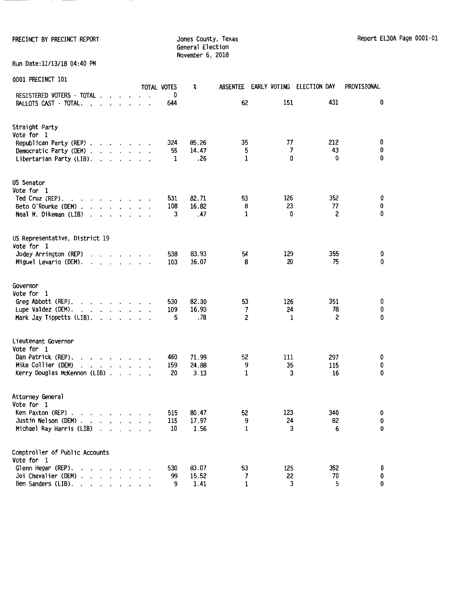PRECINCT BY PRECINCT REPORT **STATES THE SET OF STATES COUNTY, Texas** Report EL30A Page 0001-01 General Election November 6, 2018

Run Date:11/13/18 04:40 PM

| AAAT LUECTIACI TAT                                                                                                                                                                                                                                                                                                                                                                            |                                                                                                                                                                                                                                   |         |           | TOTAL VOTES      | X                      | ABSENTEE                           | EARLY VOTING ELECTION DAY |                           | PROVISIONAL           |
|-----------------------------------------------------------------------------------------------------------------------------------------------------------------------------------------------------------------------------------------------------------------------------------------------------------------------------------------------------------------------------------------------|-----------------------------------------------------------------------------------------------------------------------------------------------------------------------------------------------------------------------------------|---------|-----------|------------------|------------------------|------------------------------------|---------------------------|---------------------------|-----------------------|
| REGISTERED VOTERS - TOTAL<br>BALLOTS CAST - TOTAL.<br>$\sim$<br>$\overline{\phantom{a}}$                                                                                                                                                                                                                                                                                                      | $\ddot{\phantom{0}}$                                                                                                                                                                                                              | $\cdot$ |           | 0<br>644         |                        | 62                                 | 151                       | 431                       | 0                     |
| Straight Party<br>Vote for 1<br>Republican Party (REP)<br>Democratic Party (DEM)<br>Libertarian Party (LIB).                                                                                                                                                                                                                                                                                  |                                                                                                                                                                                                                                   |         |           | 324<br>55<br>1   | 85.26<br>14.47<br>.26  | 35<br>5<br>1                       | 77<br>7<br>0              | 212<br>43<br>$\mathbf{0}$ | 0<br>0<br>$\mathbf 0$ |
| <b>US Senator</b><br>Vote for 1<br>Ted Cruz (REP).<br>and a state of the state of the<br>Beto O'Rourke (DEM).<br><b>Contract Contract</b><br>Neal M. Dikeman (LIB)<br>$\cdot$                                                                                                                                                                                                                 | $\mathbf{r}$ and $\mathbf{r}$                                                                                                                                                                                                     |         |           | 531<br>108<br>3  | 82.71<br>16.82<br>.47  | 53<br>8<br>$\mathbf{1}$            | 126<br>23<br>0            | 352<br>77<br>2            | 0<br>0<br>0           |
| US Representative, District 19<br>Vote for 1<br>Jodey Arrington (REP)<br>$\mathbf{r}$<br>Miguel Levario (DEM).<br>$\mathbf{r}$ , $\mathbf{r}$ , $\mathbf{r}$ , $\mathbf{r}$ , $\mathbf{r}$ , $\mathbf{r}$                                                                                                                                                                                     | $\mathbf{r}$ . The set of the set of the set of the set of the set of the set of the set of the set of the set of the set of the set of the set of the set of the set of the set of the set of the set of the set of the set of t |         |           | 538<br>103       | 83.93<br>16.07         | 54<br>8                            | 129<br>20                 | 355<br>75                 | 0<br>$\mathbf 0$      |
| Governor<br>Vote for 1<br>Greg Abbott (REP).<br>$\mathbf{r}$ , $\mathbf{r}$ , $\mathbf{r}$ , $\mathbf{r}$<br>Lupe Valdez (DEM).<br>Mark Jay Tippetts (LIB).                                                                                                                                                                                                                                   | and a state of the                                                                                                                                                                                                                |         |           | 530<br>109<br>5  | 82.30<br>16.93<br>.78  | 53<br>7<br>$\overline{\mathbf{c}}$ | 126<br>24<br>1            | 351<br>78<br>2            | 0<br>0<br>0           |
| Lieutenant Governor<br>Vote for 1<br>Dan Patrick (REP).<br>$\mathbf{r}$ . The set of the set of the set of the set of the set of the set of the set of the set of the set of the set of the set of the set of the set of the set of the set of the set of the set of the set of the set of t<br>Mike Collier (DEM)<br>and the contract of the con-<br>$\cdot$<br>Kerry Douglas McKennon (LIB) |                                                                                                                                                                                                                                   |         |           | 460<br>159<br>20 | 71.99<br>24.88<br>3.13 | 52<br>9<br>1                       | 111<br>35<br>3            | 297<br>115<br>16          | 0<br>0<br>0           |
| Attorney General<br>Vote for 1<br>Ken Paxton (REP) $\cdots$ $\cdots$ $\cdots$<br>Justin Nelson (DEM)<br>Michael Ray Harris (LIB)<br>$\ddot{\phantom{a}}$                                                                                                                                                                                                                                      | $\cdot$ $\cdot$ $\cdot$                                                                                                                                                                                                           |         | $\cdot$ . | 515<br>115<br>10 | 80.47<br>17.97<br>1.56 | 52<br>9<br>1                       | 123<br>24<br>3            | 340<br>82<br>6            | 0<br>$\bf{0}$<br>0    |
| Comptroller of Public Accounts<br>Vote for 1<br>Glenn Hegar (REP).<br>Joi Chevalier (DEM).<br>and a state of the<br>Ben Sanders (LIB).<br>$\mathbf{r}$ , $\mathbf{r}$ , $\mathbf{r}$ , $\mathbf{r}$                                                                                                                                                                                           | $\cdots$                                                                                                                                                                                                                          |         |           | 530<br>99<br>9   | 83.07<br>15.52<br>1.41 | 53<br>7<br>1                       | 125<br>22<br>3            | 352<br>70<br>5            | 0<br>0<br>0           |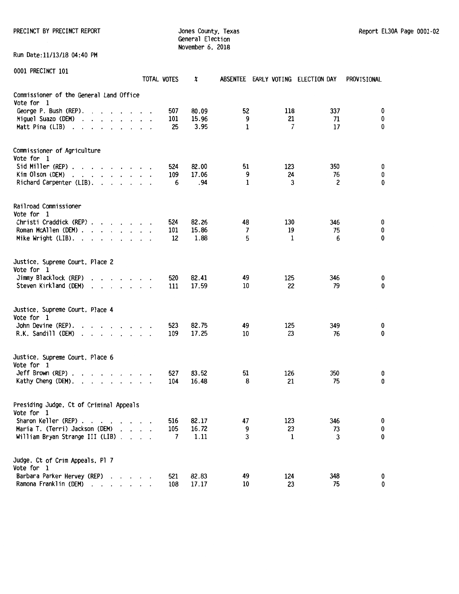PRECINCT BY PRECINCT REPORT COUNTER STATES ON A SURFACE COUNTY, Texas Report EL30A Page 0001-02

General Election November 6, 2018

Run Date:11/13/18 04:40 PM

|                                                                                                                                                                                                                                                            | TOTAL VOTES | X              |                | ABSENTEE EARLY VOTING ELECTION DAY |           | PROVISIONAL |
|------------------------------------------------------------------------------------------------------------------------------------------------------------------------------------------------------------------------------------------------------------|-------------|----------------|----------------|------------------------------------|-----------|-------------|
| Commissioner of the General Land Office<br>Vote for 1                                                                                                                                                                                                      |             |                |                |                                    |           |             |
| George P. Bush (REP).<br>$\mathbf{r}$ . The set of the set of $\mathbf{r}$                                                                                                                                                                                 | 507         | 80.09          | 52             | 118                                | 337       | 0           |
| Miguel Suazo (DEM)<br>$\cdot$ $\cdot$ $\cdot$ $\cdot$ $\cdot$                                                                                                                                                                                              | 101         | 15.96          | 9              | 21                                 | 71        | 0           |
| Matt Pina (LIB)<br>$\cdot$<br>$\cdot$ $\cdot$ $\cdot$ $\cdot$ $\cdot$                                                                                                                                                                                      | 25          | 3.95           | 1              | $\overline{7}$                     | 17        | 0           |
| Commissioner of Agriculture                                                                                                                                                                                                                                |             |                |                |                                    |           |             |
| Vote for 1<br>Sid Miller (REP).<br>$\mathbf{r}$ , $\mathbf{r}$ , $\mathbf{r}$ , $\mathbf{r}$ , $\mathbf{r}$ , $\mathbf{r}$                                                                                                                                 | 524         | 82.00          | 51             | 123                                | 350       |             |
| Kim Olson (DEM)<br>$\mathbf{r}$ , $\mathbf{r}$ , $\mathbf{r}$ , $\mathbf{r}$ , $\mathbf{r}$ , $\mathbf{r}$                                                                                                                                                 | 109         | 17.06          | 9              | 24                                 | 76        | 0<br>0      |
| Richard Carpenter (LIB).<br>$\cdots$                                                                                                                                                                                                                       | 6           | .94            | 1              | 3                                  | 2         | 0           |
| Railroad Commissioner                                                                                                                                                                                                                                      |             |                |                |                                    |           |             |
| Vote for 1                                                                                                                                                                                                                                                 |             |                |                |                                    |           |             |
| Christi Craddick (REP)                                                                                                                                                                                                                                     | 524         | 82.26          | 48             | 130                                | 346       | 0           |
| Roman McAllen (DEM).<br>$\mathbf{r}$ , $\mathbf{r}$ , $\mathbf{r}$ , $\mathbf{r}$ , $\mathbf{r}$                                                                                                                                                           | 101         | 15.86          | $\overline{7}$ | 19                                 | 75        | 0           |
| Mike Wright (LIB). .<br>$\cdot$ $\cdot$ $\cdot$<br>$\cdot$                                                                                                                                                                                                 | 12          | 1.88           | 5              | 1                                  | 6         | 0           |
| Justice, Supreme Court, Place 2                                                                                                                                                                                                                            |             |                |                |                                    |           |             |
| Vote for 1                                                                                                                                                                                                                                                 |             |                |                |                                    |           |             |
| Jimmy Blacklock (REP)<br>$\mathbf{r}$ and $\mathbf{r}$ and $\mathbf{r}$ and $\mathbf{r}$<br>Steven Kirkland (DEM)                                                                                                                                          | 520<br>111  | 82.41<br>17.59 | 49<br>10       | 125<br>22                          | 346<br>79 | 0<br>0      |
| $\mathbf{r}$ . The set of the set of the set of the set of the set of the set of the set of the set of the set of the set of the set of the set of the set of the set of the set of the set of the set of the set of the set of t<br>$\cdot$               |             |                |                |                                    |           |             |
| Justice, Supreme Court, Place 4                                                                                                                                                                                                                            |             |                |                |                                    |           |             |
| Vote for 1<br>John Devine (REP).                                                                                                                                                                                                                           | 523         | 82.75          | 49             | 125                                | 349       |             |
| $\mathbf{r}$ , $\mathbf{r}$ , $\mathbf{r}$ , $\mathbf{r}$ , $\mathbf{r}$<br>R.K. Sandill (DEM)<br>$\begin{array}{cccccccccccccc} \bullet & \bullet & \bullet & \bullet & \bullet & \bullet & \bullet & \bullet & \bullet & \bullet \end{array}$<br>$\cdot$ | 109         | 17.25          | 10             | 23                                 | 76        | 0<br>0      |
|                                                                                                                                                                                                                                                            |             |                |                |                                    |           |             |
| Justice, Supreme Court, Place 6<br>Vote for 1                                                                                                                                                                                                              |             |                |                |                                    |           |             |
| Jeff Brown (REP).<br>$\mathbf{r}$ and $\mathbf{r}$ and $\mathbf{r}$ and $\mathbf{r}$ and $\mathbf{r}$                                                                                                                                                      | 527         | 83.52          | 51             | 126                                | 350       | 0           |
| Kathy Cheng (DEM).<br>$\mathbf{r}$ , and $\mathbf{r}$ , and $\mathbf{r}$ , and $\mathbf{r}$                                                                                                                                                                | 104         | 16.48          | 8              | 21                                 | 75        | 0           |
| Presiding Judge, Ct of Criminal Appeals<br>Vote for 1                                                                                                                                                                                                      |             |                |                |                                    |           |             |
| Sharon Keller (REP)                                                                                                                                                                                                                                        | 516         | 82.17          | 47             | 123                                | 346       | 0           |
| Maria T. (Terri) Jackson (DEM)                                                                                                                                                                                                                             | 105         | 16.72          | 9              | 23                                 | 73        | 0           |
| William Bryan Strange III (LIB).<br>$\cdot$ $\cdot$                                                                                                                                                                                                        | 7           | 1.11           | 3              | 1                                  | 3         | 0           |
| Judge, Ct of Crim Appeals, Pl 7                                                                                                                                                                                                                            |             |                |                |                                    |           |             |
| Vote for 1                                                                                                                                                                                                                                                 |             |                |                |                                    |           |             |
| Barbara Parker Hervey (REP)<br>Ramona Franklin (DEM)<br>$\mathbf{r}$ . The set of $\mathbf{r}$<br>$\cdot$                                                                                                                                                  | 521<br>108  | 82.83<br>17.17 | 49<br>10       | 124<br>23                          | 348<br>75 | 0<br>0      |
|                                                                                                                                                                                                                                                            |             |                |                |                                    |           |             |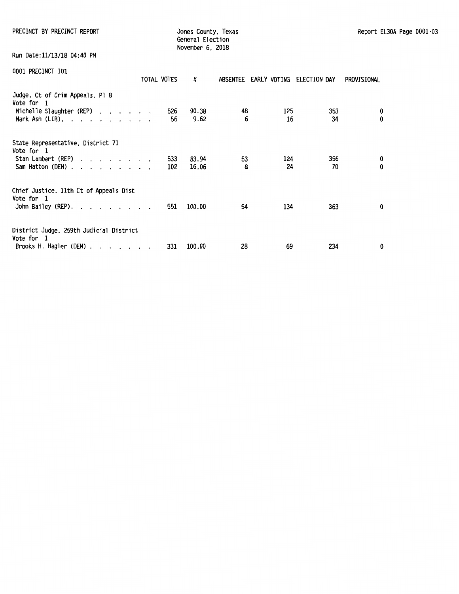PRECINCT BY PRECINCT REPORT **Internal County, Texas** Jones County, Texas Report EL30A Page 0001-03

Jones County, Texas<br>General Election November 6, 2018

Run Date:11/13/18 04:40 PM

|                                                       | TOTAL VOTES | X      |    | ABSENTEE EARLY VOTING | ELECTION DAY | PROVISIONAL  |
|-------------------------------------------------------|-------------|--------|----|-----------------------|--------------|--------------|
| Judge, Ct of Crim Appeals, Pl 8<br>Vote for 1         |             |        |    |                       |              |              |
| Michelle Slaughter (REP)                              | 526         | 90.38  | 48 | 125                   | 353          | 0            |
| Mark Ash $(LIB)$ .                                    | 56          | 9.62   | 6  | 16                    | 34           | 0            |
| State Representative, District 71<br>Vote for 1       |             |        |    |                       |              |              |
| Stan Lambert (REP)                                    | 533         | 83.94  | 53 | 124                   | 356          | 0            |
| Sam Hatton (DEM)                                      | 102         | 16.06  | 8  | 24                    | 70           | $\mathbf{0}$ |
| Chief Justice, 11th Ct of Appeals Dist                |             |        |    |                       |              |              |
| Vote for 1                                            |             |        |    |                       |              |              |
| John Bailey (REP).                                    | 551         | 100.00 | 54 | 134                   | 363          | 0            |
| District Judge, 259th Judicial District<br>Vote for 1 |             |        |    |                       |              |              |
| Brooks H. Hagler (DEM)                                | 331         | 100.00 | 28 | 69                    | 234          | 0            |
|                                                       |             |        |    |                       |              |              |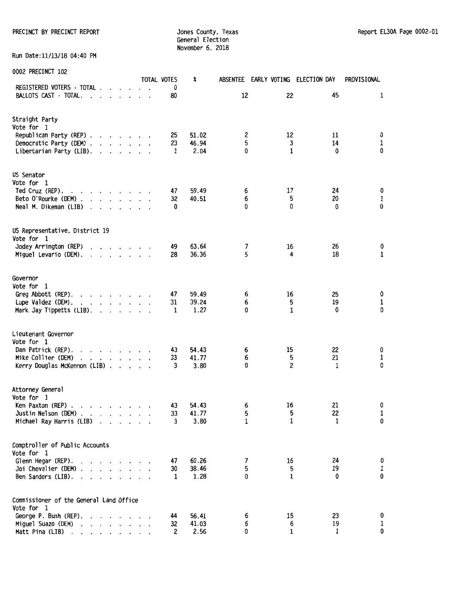General Election November 6. 2018

Run Date:11/13/18 04:40 PM

0002 PRECINCT 102

TOTAL VOTES % ABSENTEE EARLY VOTING ELECTION DAY PROVISIONAL REGISTERED VOTERS - TOTAL . . . . . . . 0<br>BALLOTS CAST - TOTAL. . . . . . . . . . 80 BALLOTS CAST - TOTAL. . . . . . . 80 12 22 45 1 Straight Party Vote for 1 Republican Party (REP) . . . . . . 25 51.02 2 12 11 0<br>Democratic Party (DEM) . . . . . 23 46.94 5 3 14 1 Democratic Party (DEM) . . . . . . 23 46.94 5 3 14 1 Libertarian Party (LIB). 1 2.04 0 1 0 0 US Senator Vote for 1 Ted Cruz (REP). 47 59.49 6 17 **24** 0 Beto O'Rourke (DEM) . . . . . . . 32 40.51 6 5 5 20 1 Neal M. Dikeman (LIB) . . . . . 0 0 0 0 0 US Representative. District 19 Vote for 1 Jodey Arrington (REP) 49 63.64 7 16 26 0 Miguel Levario (DEM). . . . . . . . Governor Vote for 1 Greg Abbott (REP). . . . . . . . 47 59.49 6 16 25 0<br>1upe Valdez (DEM). . . . . . . . . 31 39.24 6 5 19 1 Palack (DEM). . . . . . . . 31 39.24 6 5 19 1<br>Mark Jav Tippetts (LIB). . . . . . 1 1.27 0 1 0 0 Mark Jay Tippetts (LIB). . . . . . . Lieutenant Governor Vote for 1 Pan Patrick (REP). . . . . . . . . 43 54.43 6 15 22 0<br>
Mike Collier (DEM) . . . . . . . . 33 41.77 6 5 21 1 **Mike** Collier (DEM) 33 41. 77 6 5 21 1 Kerry Douglas McKennon (LIB) . . . . . 3 Attorney General Vote for 1 Ren Paxton (REP) (1990), 1990 (1991), 1991 (1991), 2003, 1991 (1991), 2004, 1991 (1991), 2004, 1991 (1991), 20<br>
1991 (1991), 1992 (1991), 1992 (1992), 1992 (1993), 2004, 1992 (1993), 2004, 1992 (1994), 2004, 1992 (1994), <br> Justin Nelson (DEM) . 33 41. 77 5 5 22 1 Michael Ray Harris (LIB) 3 3.80 1 1 1 0 Comptroller of Public Accounts Vote for 1 Glenn Hegar (REP). . . . . . . . . 47 60.26 7 16 24 0<br>Joi Chevalier (DEM) . . . . . . . 30 38.46 5 5 5 19 1 Joi Chevalier (DEM) 30 38.46 5 5 19 1 Ben Sanders (LIB).  $\ldots$ . . . . . . 1 Commissioner of the General Land Office Vote for 1 George P. Bush (REP). **44** 56.41 6 15 23 0

Miguel Suazo (DEM) 32 32 41.03 6 6 19 1<br>Matt Pina (LIB) 32 32 32 41.03 6 6 19 1

Matt Pina (LIB) . . . . . . . . .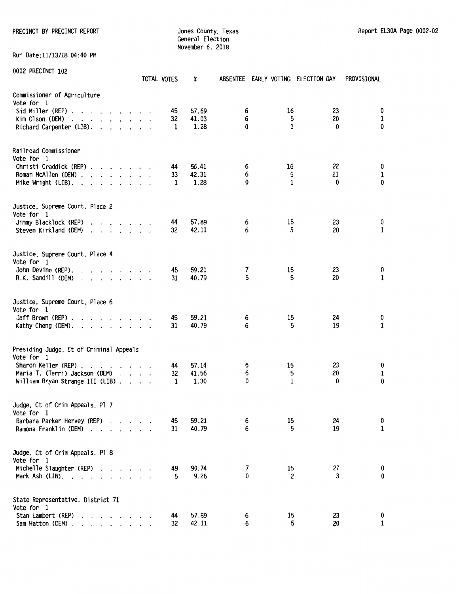PRECINCT BY PRECINCT REPORT COUNTER SERVICES ON A SURFACE OF STREET AND REPORT SERVICES OF A SURFACE OF STREET AND REPORT SERVICES OF A SURFACE OF A SURFACE OF A SURFACE OF A SURFACE OF A SURFACE OF A SURFACE OF A SURFACE

General Election November 6, 2018

Run Date:11/13/18 04:40 PM

| 0002 PRECINCT 102                                                                                                                                                                                                                                                                                                                                                                                                    | TOTAL VOTES   | x                      | ABSENTEE EARLY VOTING ELECTION DAY |              |                      | PROVISIONAL                      |
|----------------------------------------------------------------------------------------------------------------------------------------------------------------------------------------------------------------------------------------------------------------------------------------------------------------------------------------------------------------------------------------------------------------------|---------------|------------------------|------------------------------------|--------------|----------------------|----------------------------------|
| Commissioner of Agriculture<br>Vote for 1<br>Sid Miller (REP)<br>$Kim$ Olson (DEM) $\ldots$ $\ldots$ $\ldots$ $\ldots$<br>Richard Carpenter (LIB).                                                                                                                                                                                                                                                                   | 45<br>32<br>1 | 57.69<br>41.03<br>1.28 | 6<br>6<br>0                        | 16<br>5<br>1 | 23<br>20<br>0        | 0<br>$\mathbf{1}$<br>$\mathbf 0$ |
| Railroad Commissioner<br>Vote for 1<br>Christi Craddick (REP)<br>Roman McAllen (DEM)<br>Mike Wright (LIB). $\ldots$                                                                                                                                                                                                                                                                                                  | 44<br>33<br>1 | 56.41<br>42.31<br>1.28 | 6<br>6<br>0                        | 16<br>5<br>1 | 22<br>21<br>$\bf{0}$ | 0<br>$\mathbf{1}$<br>0           |
| Justice, Supreme Court, Place 2<br>Vote for 1<br>Jimmy Blacklock (REP)<br>Steven Kirkland (DEM)<br>$\cdot$                                                                                                                                                                                                                                                                                                           | 44<br>32      | 57.89<br>42.11         | 6<br>6                             | 15<br>5      | 23<br>20             | 0<br>$\mathbf{1}$                |
| Justice, Supreme Court, Place 4<br>Vote for 1<br>John Devine (REP).<br>and the contract of the contract of the contract of the contract of the contract of the contract of the contract of the contract of the contract of the contract of the contract of the contract of the contract of the contra<br>R.K. Sandill (DEM)<br>$\begin{array}{cccccccccccccc} . & . & . & . & . & . & . & . & . & . & . \end{array}$ | 45<br>31      | 59.21<br>40.79         | 7<br>5                             | 15<br>5      | 23<br>20             | 0<br>1                           |
| Justice, Supreme Court, Place 6<br>Vote for 1<br>Jeff Brown (REP) $\ldots$ $\ldots$ $\ldots$ $\ldots$<br>Kathy Cheng (DEM).                                                                                                                                                                                                                                                                                          | 45<br>31      | 59.21<br>40.79         | 6<br>6                             | 15<br>5      | 24<br>19             | 0<br>1                           |
| Presiding Judge, Ct of Criminal Appeals<br>Vote for 1<br>Sharon Keller (REP).<br>and a series of the series of<br>$\cdot$<br>Maria T. (Terri) Jackson (DEM)<br>William Bryan Strange III (LIB)                                                                                                                                                                                                                       | 44<br>32<br>1 | 57.14<br>41.56<br>1.30 | 6<br>6<br>0                        | 15<br>5<br>1 | 23<br>20<br>0        | 0<br>$\mathbf{1}$<br>0           |
| Judge, Ct of Crim Appeals, Pl 7<br>Vote for 1<br>Barbara Parker Hervey (REP)<br>Ramona Franklin (DEM)                                                                                                                                                                                                                                                                                                                | 45<br>31      | 59.21<br>40.79         | 6<br>6                             | 15<br>5      | 24<br>19             | 0<br>$\mathbf{1}$                |
| Judge, Ct of Crim Appeals, Pl 8<br>Vote for 1<br>Michelle Slaughter (REP)<br>Mark Ash $(LIB)$ .                                                                                                                                                                                                                                                                                                                      | 49<br>5       | 90.74<br>9.26          | 7<br>0                             | 15<br>2      | 27<br>3              | 0<br>0                           |
| State Representative, District 71<br>Vote for 1<br>Stan Lambert (REP)<br>Sam Hatton (DEM)                                                                                                                                                                                                                                                                                                                            | 44<br>32      | 57.89<br>42.11         | 6<br>6                             | 15<br>5      | 23<br>20             | 0<br>1                           |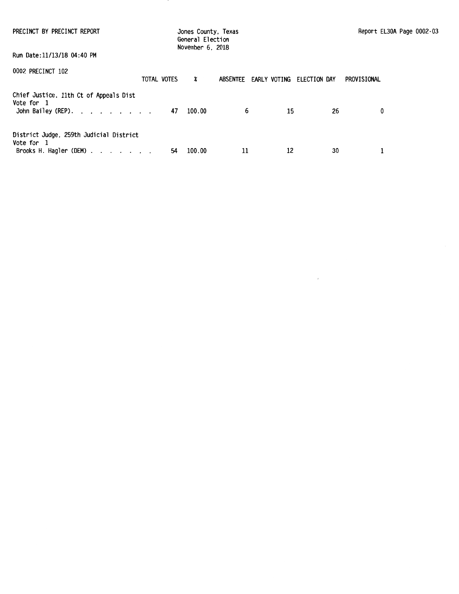| PRECINCT BY PRECINCT REPORT                                                     |             | Jones County, Texas<br>General Election<br>November 6, 2018 |                       | Report EL30A Page 0002-03 |    |             |
|---------------------------------------------------------------------------------|-------------|-------------------------------------------------------------|-----------------------|---------------------------|----|-------------|
| Run Date:11/13/18 04:40 PM                                                      |             |                                                             |                       |                           |    |             |
| 0002 PRECINCT 102                                                               | TOTAL VOTES | X                                                           | ABSENTEE EARLY VOTING | ELECTION DAY              |    | PROVISIONAL |
| Chief Justice, 11th Ct of Appeals Dist<br>Vote for 1<br>John Bailey (REP).      | 47          | 100.00                                                      | 6                     | 15                        | 26 | 0           |
| District Judge, 259th Judicial District<br>Vote for 1<br>Brooks H. Hagler (DEM) | 54          | 100.00                                                      | 11                    | 12                        | 30 |             |

 $\mathcal{L}^{\text{max}}$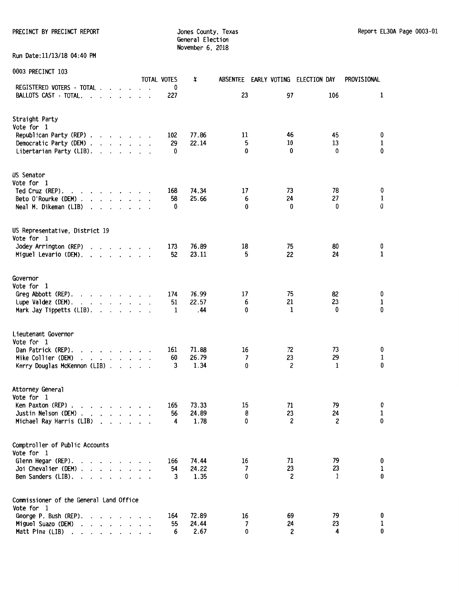PRECINCT BY PRECINCT REPORT **Internal County, Texas** Jones County, Texas Report EL30A Page 0003-01

General Election November 6, 2018

Run Date:11/13/18 04:40 PM

|                                                                                                                                                                                                                                                           |                                                    |                             |  | TOTAL VOTES | X     |    | ABSENTEE EARLY VOTING ELECTION DAY |              | PROVISIONAL              |
|-----------------------------------------------------------------------------------------------------------------------------------------------------------------------------------------------------------------------------------------------------------|----------------------------------------------------|-----------------------------|--|-------------|-------|----|------------------------------------|--------------|--------------------------|
| REGISTERED VOTERS - TOTAL .                                                                                                                                                                                                                               | $\cdot$ $\cdot$ $\cdot$                            |                             |  | 0           |       |    |                                    |              |                          |
| BALLOTS CAST - TOTAL.<br>$\cdot$ $\cdot$ $\cdot$ $\cdot$ $\cdot$                                                                                                                                                                                          |                                                    |                             |  | 227         |       | 23 | 97                                 | 106          | 1                        |
| Straight Party                                                                                                                                                                                                                                            |                                                    |                             |  |             |       |    |                                    |              |                          |
| Vote for 1                                                                                                                                                                                                                                                |                                                    |                             |  |             |       |    |                                    |              |                          |
| Republican Party (REP)                                                                                                                                                                                                                                    |                                                    |                             |  | 102         | 77.86 | 11 | 46                                 | 45           | 0                        |
| Democratic Party (DEM)                                                                                                                                                                                                                                    |                                                    |                             |  | 29          | 22.14 | 5  | 10                                 | 13           | $\mathbf{1}$             |
| Libertarian Party (LIB).                                                                                                                                                                                                                                  | $\mathbf{r}$ , and $\mathbf{r}$ , and $\mathbf{r}$ |                             |  | 0           |       | 0  | 0                                  | 0            | 0                        |
| US Senator                                                                                                                                                                                                                                                |                                                    |                             |  |             |       |    |                                    |              |                          |
| Vote for 1                                                                                                                                                                                                                                                |                                                    |                             |  |             |       |    |                                    |              |                          |
| Ted Cruz (REP).<br>and the contract of the contract of                                                                                                                                                                                                    |                                                    |                             |  | 168         | 74.34 | 17 | 73                                 | 78           | 0                        |
| Beto O'Rourke (DEM).<br>$\mathbf{r}$ . The set of the set of the set of the set of the set of the set of the set of the set of the set of the set of the set of the set of the set of the set of the set of the set of the set of the set of the set of t |                                                    |                             |  | 58          | 25.66 | 6  | 24                                 | 27           | 1                        |
| Neal M. Dikeman (LIB)<br>$\mathbf{r}$ , and $\mathbf{r}$ , and $\mathbf{r}$                                                                                                                                                                               |                                                    |                             |  | 0           |       | 0  | 0                                  | 0            | 0                        |
| US Representative, District 19                                                                                                                                                                                                                            |                                                    |                             |  |             |       |    |                                    |              |                          |
| Vote for 1                                                                                                                                                                                                                                                |                                                    |                             |  |             |       |    |                                    |              |                          |
| Jodey Arrington (REP)<br>the contract of the contract of                                                                                                                                                                                                  |                                                    |                             |  | 173         | 76.89 | 18 | 75                                 | 80           | 0                        |
| Miguel Levario (DEM).<br>the contract of the contract of                                                                                                                                                                                                  |                                                    |                             |  | 52          | 23.11 | 5  | 22                                 | 24           | $\mathbf{1}$             |
| Governor                                                                                                                                                                                                                                                  |                                                    |                             |  |             |       |    |                                    |              |                          |
| Vote for 1                                                                                                                                                                                                                                                |                                                    |                             |  |             |       |    |                                    |              |                          |
| and a series of the series of<br>Greg Abbott (REP).                                                                                                                                                                                                       |                                                    |                             |  | 174         | 76.99 | 17 | 75                                 | 82           | 0                        |
| Lupe Valdez (DEM).<br>and a series of the con-                                                                                                                                                                                                            |                                                    |                             |  | 51          | 22.57 | 6  | 21                                 | 23           | $\mathbf{1}$             |
| Mark Jay Tippetts (LIB).                                                                                                                                                                                                                                  |                                                    |                             |  | 1           | .44   | 0  | 1                                  | 0            | 0                        |
| Lieutenant Governor                                                                                                                                                                                                                                       |                                                    |                             |  |             |       |    |                                    |              |                          |
| Vote for 1                                                                                                                                                                                                                                                |                                                    |                             |  |             |       |    |                                    |              |                          |
| Dan Patrick (REP).<br>$\mathbf{r}$ , $\mathbf{r}$ , $\mathbf{r}$ , $\mathbf{r}$ , $\mathbf{r}$<br>$\ddot{\phantom{0}}$                                                                                                                                    |                                                    |                             |  | 161         | 71.88 | 16 | 72                                 | 73           | 0                        |
| Mike Collier (DEM)<br>and a series and a                                                                                                                                                                                                                  |                                                    |                             |  | 60          | 26.79 | 7  | 23                                 | 29           | $\mathbf{1}$<br>$\bf{0}$ |
| Kerry Douglas McKennon (LIB)                                                                                                                                                                                                                              |                                                    |                             |  | 3           | 1.34  | 0  | 2                                  | 1            |                          |
| Attorney General                                                                                                                                                                                                                                          |                                                    |                             |  |             |       |    |                                    |              |                          |
| Vote for 1                                                                                                                                                                                                                                                |                                                    |                             |  |             |       |    |                                    |              |                          |
| Ken Paxton (REP).<br>$\mathbf{r}$ , $\mathbf{r}$ , $\mathbf{r}$ , $\mathbf{r}$ , $\mathbf{r}$ , $\mathbf{r}$                                                                                                                                              |                                                    |                             |  | 165         | 73.33 | 15 | 71                                 | 79           | 0                        |
| Justin Nelson (DEM).<br>$\cdots$                                                                                                                                                                                                                          |                                                    | $\sim$ $\sim$ $\sim$ $\sim$ |  | 56          | 24.89 | 8  | 23                                 | 24           | $\mathbf{1}$             |
| Michael Ray Harris (LIB)                                                                                                                                                                                                                                  | $\mathbf{r}$ . $\mathbf{r}$                        |                             |  | 4           | 1.78  | 0  | 2                                  | 2            | 0                        |
| Comptroller of Public Accounts                                                                                                                                                                                                                            |                                                    |                             |  |             |       |    |                                    |              |                          |
| Vote for 1                                                                                                                                                                                                                                                |                                                    |                             |  |             |       |    |                                    |              |                          |
| Glenn Hegar (REP).<br>$\overline{\phantom{a}}$                                                                                                                                                                                                            | $\cdot$ $\cdot$ $\cdot$ $\cdot$ $\cdot$            |                             |  | 166         | 74.44 | 16 | 71                                 | 79           | 0                        |
| Joi Chevalier (DEM).<br>$\mathbf{r}$ . The set of the set of the set of the set of the set of the set of the set of the set of the set of the set of the set of the set of the set of the set of the set of the set of the set of the set of the set of t |                                                    |                             |  | 54          | 24.22 | 7  | 23                                 | 23           | 1                        |
| Ben Sanders (LIB).<br>the contract of the con-<br>$\overline{\phantom{a}}$                                                                                                                                                                                |                                                    |                             |  | 3           | 1.35  | 0  | $\overline{c}$                     | $\mathbf{1}$ | 0                        |
| Commissioner of the General Land Office                                                                                                                                                                                                                   |                                                    |                             |  |             |       |    |                                    |              |                          |
| Vote for 1                                                                                                                                                                                                                                                |                                                    |                             |  |             |       |    |                                    |              |                          |
| George P. Bush (REP).<br>$\cdot$                                                                                                                                                                                                                          | the contract of the contract of the                |                             |  | 164         | 72.89 | 16 | 69                                 | 79           | 0                        |
| Miguel Suazo (DEM)<br>and the contract of the contract of the contract of the contract of the contract of the contract of the contract of the contract of the contract of the contract of the contract of the contract of the contract of the contra      |                                                    |                             |  | 55          | 24.44 | 7  | 24                                 | 23<br>4      | 1<br>0                   |
| Matt Pina (LIB)<br>and the second control of the second<br>$\overline{\phantom{a}}$                                                                                                                                                                       |                                                    |                             |  | 6           | 2.67  | 0  | 2                                  |              |                          |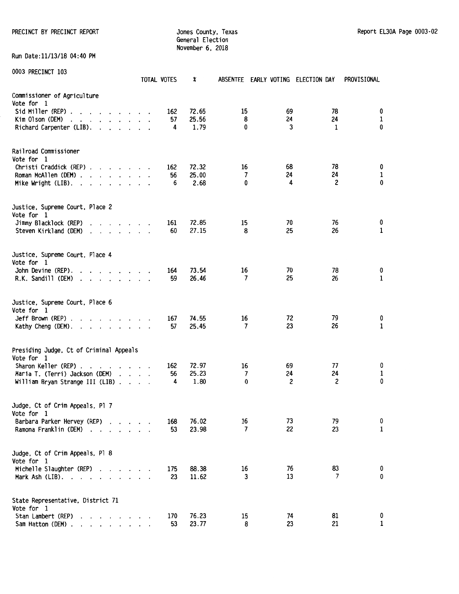PRECINCT BY PRECINCT REPORT **Subset County, Texas** Jones County, Texas Report EL30A Page 0003-02

General Election November 6. 2018

Run Date:11/13/18 04:40 PM

|                                                                                                                                                                                                                                                             | TOTAL VOTES |           | X              |                | ABSENTEE EARLY VOTING ELECTION DAY |                         | PROVISIONAL       |
|-------------------------------------------------------------------------------------------------------------------------------------------------------------------------------------------------------------------------------------------------------------|-------------|-----------|----------------|----------------|------------------------------------|-------------------------|-------------------|
| Commissioner of Agriculture<br>Vote for 1                                                                                                                                                                                                                   |             |           |                |                |                                    |                         |                   |
| Sid Miller (REP) $\ldots$ $\ldots$ $\ldots$ $\ldots$                                                                                                                                                                                                        |             | 162       | 72.65          | 15             | 69                                 | 78                      | 0                 |
| Kim Olson (DEM)<br>$\mathbf{r}$ , $\mathbf{r}$ , $\mathbf{r}$ , $\mathbf{r}$ , $\mathbf{r}$ , $\mathbf{r}$ , $\mathbf{r}$                                                                                                                                   |             | 57        | 25.56          | 8<br>0         | 24                                 | 24                      | $\mathbf{1}$<br>0 |
| Richard Carpenter (LIB).                                                                                                                                                                                                                                    |             | 4         | 1.79           |                | 3                                  | 1                       |                   |
| Railroad Commissioner                                                                                                                                                                                                                                       |             |           |                |                |                                    |                         |                   |
| Vote for 1<br>Christi Craddick (REP)                                                                                                                                                                                                                        |             | 162       | 72.32          | 16             | 68                                 | 78                      | 0                 |
| Roman McAllen (DEM)                                                                                                                                                                                                                                         |             | 56        | 25.00          | 7              | 24                                 | 24                      | $\mathbf{1}$      |
| Mike Wright $(LIB)$ .                                                                                                                                                                                                                                       |             | 6         | 2.68           | 0              | 4                                  | $\overline{\mathbf{c}}$ | 0                 |
| Justice, Supreme Court, Place 2                                                                                                                                                                                                                             |             |           |                |                |                                    |                         |                   |
| Vote for 1<br>Jimmy Blacklock (REP)                                                                                                                                                                                                                         |             | 161       | 72.85          | 15             | 70                                 | 76                      | 0                 |
| Steven Kirkland (DEM)<br>$\mathcal{A}$ . The set of the set of the set of the set of the set of the set of the set of the set of the set of the set of the set of the set of the set of the set of the set of the set of the set of the set of the set of t |             | 60        | 27.15          | 8              | 25                                 | 26                      | 1                 |
| Justice, Supreme Court, Place 4                                                                                                                                                                                                                             |             |           |                |                |                                    |                         |                   |
| Vote for 1<br>John Devine (REP).<br>and the contract of the contract of                                                                                                                                                                                     |             | 164       | 73.54          | 16             | 70                                 | 78                      | 0                 |
| R.K. Sandill (DEM)<br>and a series and a series                                                                                                                                                                                                             |             | 59        | 26.46          | 7              | 25                                 | 26                      | $\mathbf{1}$      |
| Justice, Supreme Court, Place 6                                                                                                                                                                                                                             |             |           |                |                |                                    |                         |                   |
| Vote for 1                                                                                                                                                                                                                                                  |             |           |                |                |                                    |                         |                   |
| Jeff Brown (REP) $\ldots$ $\ldots$ $\ldots$ $\ldots$<br>Kathy Cheng (DEM).                                                                                                                                                                                  |             | 167<br>57 | 74.55<br>25.45 | 16<br>7        | 72<br>23                           | 79<br>26                | 0<br>1            |
| Presiding Judge, Ct of Criminal Appeals                                                                                                                                                                                                                     |             |           |                |                |                                    |                         |                   |
| Vote for 1                                                                                                                                                                                                                                                  |             |           | 72.97          | 16             | 69                                 | 77                      | 0                 |
| Sharon Keller (REP)<br>Maria T. (Terri) Jackson (DEM)                                                                                                                                                                                                       |             | 162<br>56 | 25.23          | $\overline{7}$ | 24                                 | 24                      | 1                 |
| William Bryan Strange III (LIB)                                                                                                                                                                                                                             |             | 4         | 1.80           | 0              | 2                                  | $\mathbf{2}$            | 0                 |
| Judge, Ct of Crim Appeals, Pl 7                                                                                                                                                                                                                             |             |           |                |                |                                    |                         |                   |
| Vote for 1<br>Barbara Parker Hervey (REP)                                                                                                                                                                                                                   |             | 168       | 76.02          | 16             | 73                                 | 79                      | 0                 |
| Ramona Franklin (DEM)                                                                                                                                                                                                                                       |             | 53        | 23.98          | 7              | 22                                 | 23                      | 1                 |
| Judge, Ct of Crim Appeals, Pl 8                                                                                                                                                                                                                             |             |           |                |                |                                    |                         |                   |
| Vote for 1<br>Michelle Slaughter (REP)                                                                                                                                                                                                                      |             | 175       | 88.38          | 16             | 76                                 | 83                      | 0                 |
| Mark Ash $(LIB)$ .                                                                                                                                                                                                                                          |             | 23        | 11.62          | 3              | 13                                 | 7                       | 0                 |
| State Representative, District 71                                                                                                                                                                                                                           |             |           |                |                |                                    |                         |                   |
| Vote for 1<br>Stan Lambert (REP)                                                                                                                                                                                                                            |             | 170       | 76.23          | 15             | 74                                 | 81                      | 0                 |
| Sam Hatton (DEM).<br>and the contract of the state of                                                                                                                                                                                                       |             | 53        | 23.77          | 8              | 23                                 | 21                      | 1                 |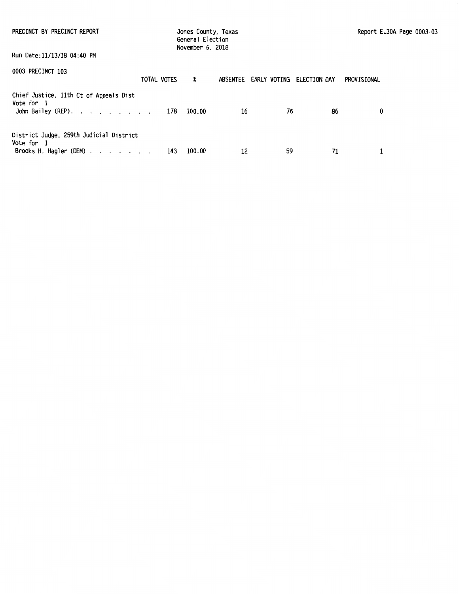| PRECINCT BY PRECINCT REPORT                                                                   | Jones County, Texas<br>General Election<br>November 6, 2018 |                  |    |  |    |                                    | Report EL30A Page 0003-03 |             |  |
|-----------------------------------------------------------------------------------------------|-------------------------------------------------------------|------------------|----|--|----|------------------------------------|---------------------------|-------------|--|
| Run Date:11/13/18 04:40 PM                                                                    |                                                             |                  |    |  |    |                                    |                           |             |  |
| 0003 PRECINCT 103<br>TOTAL VOTES                                                              |                                                             | $\boldsymbol{x}$ |    |  |    | ABSENTEE EARLY VOTING ELECTION DAY |                           | PROVISIONAL |  |
| Chief Justice, 11th Ct of Appeals Dist<br>Vote for 1<br>John Bailey (REP). 178 100.00         |                                                             |                  | 16 |  | 76 |                                    | 86                        | 0           |  |
| District Judge, 259th Judicial District<br>Vote for 1<br>Brooks H. Hagler (DEM). $\ldots$ 143 |                                                             | 100.00           | 12 |  | 59 |                                    | 71                        |             |  |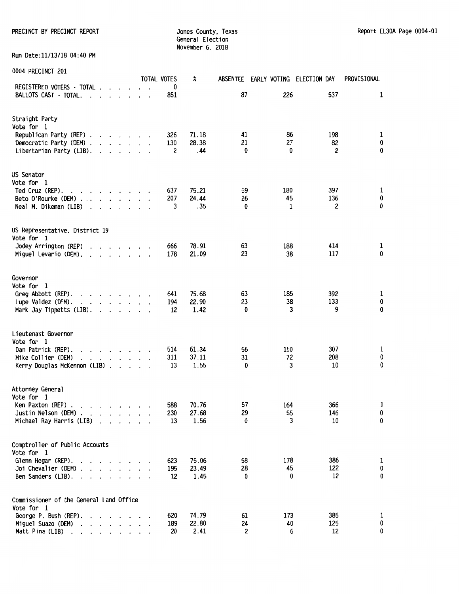General Election November 6, 2018

Run Date:11/13/18 04:40 PM

| <b>UUU4 FREGINGI LUI</b>                                                                       |                         |                      | <b>TOTAL VOTES</b>  | X             |          | ABSENTEE EARLY VOTING ELECTION DAY |                     | PROVISIONAL    |
|------------------------------------------------------------------------------------------------|-------------------------|----------------------|---------------------|---------------|----------|------------------------------------|---------------------|----------------|
| REGISTERED VOTERS - TOTAL                                                                      |                         |                      | 0                   |               |          |                                    | 537                 | 1              |
| BALLOTS CAST · TOTAL.<br>$\mathbf{r}$ , $\mathbf{r}$ , $\mathbf{r}$                            |                         |                      | 851                 |               | 87       | 226                                |                     |                |
| Straight Party                                                                                 |                         |                      |                     |               |          |                                    |                     |                |
| Vote for 1                                                                                     |                         |                      |                     |               |          |                                    |                     |                |
| Republican Party (REP)                                                                         |                         |                      | 326                 | 71.18         | 41       | 86                                 | 198                 | 1              |
| Democratic Party (DEM)<br>Libertarian Party (LIB).                                             |                         |                      | 130<br>$\mathbf{2}$ | 28.38<br>.44  | 21<br>0  | 27<br>0                            | 82<br>2             | $\pmb{0}$<br>0 |
| $\cdot$ $\cdot$ $\cdot$ $\cdot$ $\cdot$                                                        |                         |                      |                     |               |          |                                    |                     |                |
| US Senator                                                                                     |                         |                      |                     |               |          |                                    |                     |                |
| Vote for 1                                                                                     |                         |                      |                     |               |          |                                    |                     |                |
| Ted Cruz (REP).<br>$\mathbf{r}$ , and $\mathbf{r}$ , and $\mathbf{r}$ , and $\mathbf{r}$       |                         |                      | 637                 | 75.21         | 59       | 180                                | 397                 | 1              |
| Beto O'Rourke (DEM)                                                                            |                         |                      | 207                 | 24.44         | 26       | 45                                 | 136<br>$\mathbf{2}$ | 0<br>0         |
| Neal M. Dikeman (LIB)<br>$\cdot$ $\cdot$ $\cdot$<br>$\ddot{\phantom{a}}$                       |                         |                      | 3                   | .35           | 0        | 1                                  |                     |                |
| US Representative, District 19                                                                 |                         |                      |                     |               |          |                                    |                     |                |
| Vote for 1                                                                                     |                         |                      |                     |               |          |                                    |                     |                |
| Jodey Arrington (REP)<br>$\mathbf{r}$ . The set of the set of $\mathbf{r}$                     |                         |                      | 666                 | 78.91         | 63       | 188                                | 414                 | 1              |
| Miguel Levario (DEM).<br>$\mathbf{r}$ , $\mathbf{r}$ , $\mathbf{r}$ , $\mathbf{r}$             |                         |                      | 178                 | 21.09         | 23       | 38                                 | 117                 | 0              |
| Governor                                                                                       |                         |                      |                     |               |          |                                    |                     |                |
| Vote for 1                                                                                     |                         |                      |                     |               |          |                                    |                     |                |
| Greg Abbott (REP).<br>$\mathbf{r}$ , $\mathbf{r}$ , $\mathbf{r}$ , $\mathbf{r}$ , $\mathbf{r}$ |                         |                      | 641                 | 75.68         | 63       | 185                                | 392                 | 1              |
| Lupe Valdez (DEM).                                                                             |                         |                      | 194                 | 22.90         | 23       | 38                                 | 133                 | 0              |
| Mark Jay Tippetts (LIB).                                                                       |                         |                      | 12                  | 1.42          | $\bf{0}$ | 3                                  | 9                   | 0              |
| Lieutenant Governor                                                                            |                         |                      |                     |               |          |                                    |                     |                |
| Vote for 1                                                                                     |                         |                      |                     |               |          |                                    |                     |                |
| Dan Patrick (REP).<br>$\mathbf{r}$ , $\mathbf{r}$ , $\mathbf{r}$ , $\mathbf{r}$<br>$\cdot$     |                         |                      | 514                 | 61.34         | 56       | 150                                | 307                 | 1              |
| Mike Collier (DEM)<br>$\cdot$ $\cdot$ $\cdot$ $\cdot$ $\cdot$ $\cdot$ $\cdot$ $\cdot$          |                         |                      | 311                 | 37.11         | 31       | 72                                 | 208                 | 0<br>0         |
| Kerry Douglas McKennon (LIB)                                                                   |                         |                      | 13                  | 1.55          | 0        | 3                                  | 10                  |                |
| Attorney General                                                                               |                         |                      |                     |               |          |                                    |                     |                |
| Vote for 1                                                                                     |                         |                      |                     |               |          |                                    |                     |                |
| Ken Paxton (REP).<br>the company of the company of                                             |                         |                      | 588                 | 70.76         | 57       | 164                                | 366                 | 1              |
| Justin Nelson (DEM).<br>the contract of the con-                                               |                         |                      | 230                 | 27.68         | 29       | 55                                 | 146                 | 0              |
| Michael Ray Harris (LIB)<br>$\sim$                                                             | $\cdot$ $\cdot$ $\cdot$ |                      | 13                  | 1.56          | 0        |                                    | 10<br>3             | 0              |
| Comptroller of Public Accounts                                                                 |                         |                      |                     |               |          |                                    |                     |                |
| Vote for 1                                                                                     |                         |                      |                     |               |          |                                    |                     |                |
| Glenn Hegar (REP).<br>$\mathbf{r}$ , $\mathbf{r}$ , $\mathbf{r}$ , $\mathbf{r}$                |                         |                      | 623                 | 75.06         | 58       | 178                                | 386                 | 1              |
| Joi Chevalier (DEM).<br>and a state of the                                                     |                         |                      | 195                 | 23.49         | 28       | 45                                 | 122                 | 0              |
| Ben Sanders (LIB).<br>$\cdot$<br>$\cdot$                                                       |                         |                      | 12                  | 1.45          | 0        |                                    | 12<br>0             | 0              |
| Commissioner of the General Land Office                                                        |                         |                      |                     |               |          |                                    |                     |                |
| Vote for 1                                                                                     |                         |                      |                     |               |          |                                    |                     |                |
| George P. Bush (REP).                                                                          |                         |                      | 620                 | 74.79         | 61       | 173                                | 385                 | 1              |
| Miguel Suazo (DEM)<br>$\cdot$<br>$\cdot$<br>Matt Pina (LIB)                                    | $\ddot{\phantom{0}}$    | $\ddot{\phantom{0}}$ | 189<br>20           | 22.80<br>2.41 | 24<br>2  | 40                                 | 125<br>12<br>6      | 0<br>0         |
| the contract of the contract of<br>$\ddotsc$                                                   |                         |                      |                     |               |          |                                    |                     |                |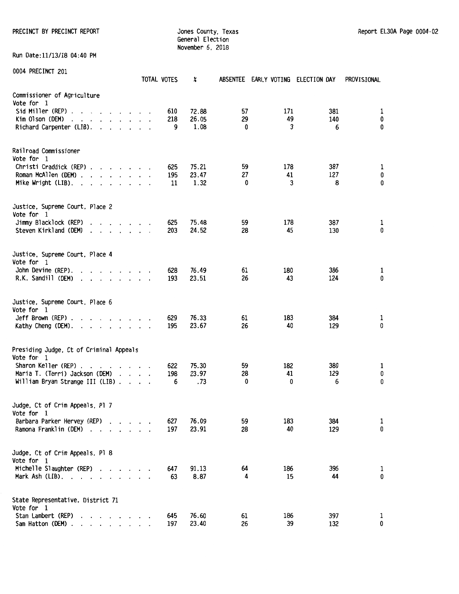PRECINCT BY PRECINCT REPORT COUNTER STATES ON MARKET SOMETHING SUPPORT SHOW AND REPORT EL30A Page 0004-02

Jones County, Texas<br>General Election November 6, 2018

Run Date:11/13/18 04:40 PM

|                                                                                                                                                                                                                                                                                   | TOTAL VOTES                 |     | X     | <b>ABSENTEE</b> | EARLY VOTING ELECTION DAY |     | PROVISIONAL |
|-----------------------------------------------------------------------------------------------------------------------------------------------------------------------------------------------------------------------------------------------------------------------------------|-----------------------------|-----|-------|-----------------|---------------------------|-----|-------------|
| Commissioner of Agriculture<br>Vote for 1                                                                                                                                                                                                                                         |                             |     |       |                 |                           |     |             |
| Sid Miller (REP).<br>and the contract of the contract of the contract of the contract of the contract of the contract of the contract of the contract of the contract of the contract of the contract of the contract of the contract of the contra                               |                             | 610 | 72.88 | 57              | 171                       | 381 | 1           |
| Kim Olson (DEM)<br>the contract of the contract of the                                                                                                                                                                                                                            | $\cdot$                     | 218 | 26.05 | 29              | 49                        | 140 | 0           |
| Richard Carpenter (LIB).                                                                                                                                                                                                                                                          |                             | 9   | 1.08  | 0               | 3                         | 6   | 0           |
| Railroad Commissioner                                                                                                                                                                                                                                                             |                             |     |       |                 |                           |     |             |
| Vote for 1<br>Christi Craddick (REP)                                                                                                                                                                                                                                              |                             | 625 | 75.21 | 59              | 178                       | 387 | 1           |
| Roman McAllen (DEM)                                                                                                                                                                                                                                                               |                             | 195 | 23.47 | 27              | 41                        | 127 | 0           |
| Mike Wright (LIB). $\cdot \cdot \cdot \cdot \cdot \cdot \cdot$                                                                                                                                                                                                                    |                             | 11  | 1.32  | 0               | 3                         | 8   | 0           |
| Justice, Supreme Court, Place 2<br>Vote for 1                                                                                                                                                                                                                                     |                             |     |       |                 |                           |     |             |
| Jimmy Blacklock (REP)                                                                                                                                                                                                                                                             |                             | 625 | 75.48 | 59              | 178                       | 387 | 1           |
| Steven Kirkland (DEM)<br>and the contract of the contract of<br>$\cdot$                                                                                                                                                                                                           |                             | 203 | 24.52 | 28              | 45                        | 130 | 0           |
| Justice, Supreme Court, Place 4                                                                                                                                                                                                                                                   |                             |     |       |                 |                           |     |             |
| Vote for 1<br>John Devine (REP).<br>$\cdot$ $\cdot$ $\cdot$ $\cdot$ $\cdot$ $\cdot$                                                                                                                                                                                               |                             | 628 | 76.49 | 61              | 180                       | 386 | 1           |
| R.K. Sandill (DEM)<br>$\cdot$ $\cdot$ $\cdot$ $\cdot$ $\cdot$ $\cdot$ $\cdot$ $\cdot$                                                                                                                                                                                             |                             | 193 | 23.51 | 26              | 43                        | 124 | 0           |
| Justice, Supreme Court, Place 6                                                                                                                                                                                                                                                   |                             |     |       |                 |                           |     |             |
| Vote for 1<br>$Jeff$ Brown (REP) $\ldots$ $\ldots$ $\ldots$ $\ldots$                                                                                                                                                                                                              |                             | 629 | 76.33 | 61              | 183                       | 384 | 1           |
| Kathy Cheng (DEM).                                                                                                                                                                                                                                                                |                             | 195 | 23.67 | 26              | 40                        | 129 | 0           |
| Presiding Judge, Ct of Criminal Appeals<br>Vote for 1                                                                                                                                                                                                                             |                             |     |       |                 |                           |     |             |
| Sharon Keller (REP).<br>$\mathbf{r}$ . The set of the set of the set of the set of the set of the set of the set of the set of the set of the set of the set of the set of the set of the set of the set of the set of the set of the set of the set of t<br>$\ddot{\phantom{a}}$ |                             | 622 | 75.30 | 59              | 182                       | 380 | 1           |
| Maria T. (Terri) Jackson (DEM)                                                                                                                                                                                                                                                    | $\sim$ $\sim$ $\sim$ $\sim$ | 198 | 23.97 | 28              | 41                        | 129 | 0           |
| William Bryan Strange III (LIB).                                                                                                                                                                                                                                                  | $\cdot$ $\cdot$ $\cdot$     | 6   | .73   | 0               | 0                         | 6   | 0           |
| Judge, Ct of Crim Appeals, Pl 7<br>Vote for 1                                                                                                                                                                                                                                     |                             |     |       |                 |                           |     |             |
| Barbara Parker Hervey (REP)                                                                                                                                                                                                                                                       |                             | 627 | 76.09 | 59              | 183                       | 384 | 1           |
| Ramona Franklin (DEM)                                                                                                                                                                                                                                                             |                             | 197 | 23.91 | 28              | 40                        | 129 | 0           |
| Judge, Ct of Crim Appeals, Pl 8                                                                                                                                                                                                                                                   |                             |     |       |                 |                           |     |             |
| Vote for 1<br>Michelle Slaughter (REP)                                                                                                                                                                                                                                            |                             | 647 | 91.13 | 64              | 186                       | 396 | 1           |
| Mark Ash $(LIB)$ , , , , , , , , ,                                                                                                                                                                                                                                                |                             | 63  | 8.87  | 4               | 15                        | 44  | 0           |
| State Representative, District 71<br>Vote for 1                                                                                                                                                                                                                                   |                             |     |       |                 |                           |     |             |
| Stan Lambert (REP)<br>$\cdot$                                                                                                                                                                                                                                                     |                             | 645 | 76.60 | 61              | 186                       | 397 | 1           |
| Sam Hatton (DEM).<br>$\cdot$ $\cdot$ $\cdot$ $\cdot$ $\cdot$ $\cdot$                                                                                                                                                                                                              |                             | 197 | 23.40 | 26              | 39                        | 132 | 0           |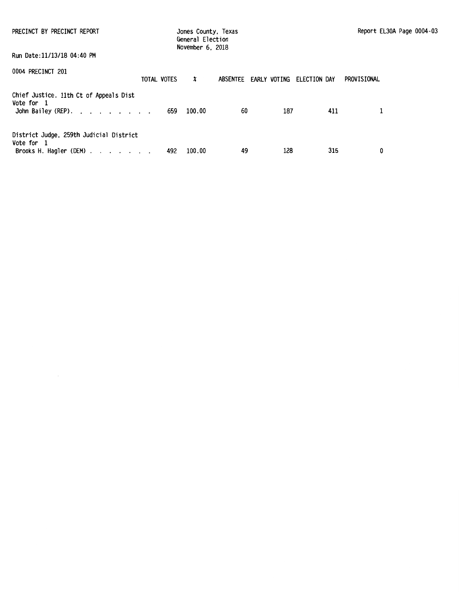| PRECINCT BY PRECINCT REPORT                                                                                                            |             | Jones County, Texas<br>General Election<br>November 6, 2018 |    | Report EL30A Page 0004-03 |                                    |             |  |
|----------------------------------------------------------------------------------------------------------------------------------------|-------------|-------------------------------------------------------------|----|---------------------------|------------------------------------|-------------|--|
| Run Date:11/13/18 04:40 PM                                                                                                             |             |                                                             |    |                           |                                    |             |  |
| 0004 PRECINCT 201                                                                                                                      | TOTAL VOTES | $\boldsymbol{\mathsf{x}}$                                   |    |                           | ABSENTEE EARLY VOTING ELECTION DAY | PROVISIONAL |  |
| Chief Justice, 11th Ct of Appeals Dist<br>Vote for 1<br>John Bailey (REP). $\cdot \cdot \cdot \cdot \cdot \cdot \cdot \cdot \cdot 659$ |             | 100.00                                                      | 60 | 187                       | 411                                |             |  |
| District Judge, 259th Judicial District<br>Vote for 1<br>Brooks H. Hagler (DEM) $\ldots$ $\ldots$ $\ldots$                             | 492         | 100.00                                                      | 49 | 128                       | 315                                | 0           |  |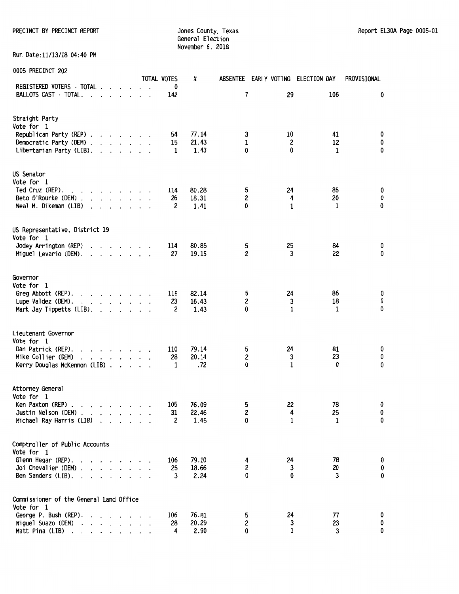PRECINCT BY PRECINCT REPORT SALL THE STATE STATE STATES COUNTY, Texas Report EL30A Page 0005-01

Jones County, Texas<br>General Election November 6, 2018

Run Date:11/13/18 04:40 PM

|                                                                                                                  |  | TOTAL VOTES | X     |                | ABSENTEE EARLY VOTING ELECTION DAY |              | PROVISIONAL |
|------------------------------------------------------------------------------------------------------------------|--|-------------|-------|----------------|------------------------------------|--------------|-------------|
| REGISTERED VOTERS - TOTAL                                                                                        |  | 0           |       |                |                                    |              |             |
| BALLOTS CAST - TOTAL.<br>$\cdots$ $\cdots$<br>$\overline{\phantom{a}}$                                           |  | 142         |       | 7              | 29                                 | 106          | 0           |
| Straight Party                                                                                                   |  |             |       |                |                                    |              |             |
| Vote for 1                                                                                                       |  |             |       |                |                                    |              |             |
| Republican Party (REP)                                                                                           |  | 54          | 77.14 | 3              | 10                                 | 41           | 0           |
| Democratic Party (DEM)                                                                                           |  | 15          | 21.43 | 1              | 2                                  | 12           | 0           |
| Libertarian Party (LIB).                                                                                         |  | 1           | 1.43  | $\mathbf{0}$   | 0                                  | $\mathbf{1}$ | 0           |
| US Senator                                                                                                       |  |             |       |                |                                    |              |             |
| Vote for 1                                                                                                       |  |             |       |                |                                    |              |             |
| Ted Cruz (REP).<br>and a strain and a strain and                                                                 |  | 114         | 80.28 | 5              | 24                                 | 85           | 0           |
| Beto O'Rourke (DEM)                                                                                              |  | 26          | 18.31 | $\mathbf{2}$   | 4                                  | 20           | 0           |
| Neal M. Dikeman (LIB)<br>$\cdot$ $\cdot$ $\cdot$ $\cdot$<br>$\cdot$                                              |  | 2           | 1.41  | 0              | 1                                  | 1            | 0           |
| US Representative, District 19                                                                                   |  |             |       |                |                                    |              |             |
| Vote for 1                                                                                                       |  |             |       |                |                                    |              |             |
| Jodey Arrington (REP)<br>and a strain and                                                                        |  | 114         | 80.85 | 5              | 25                                 | 84           | 0           |
| Miguel Levario (DEM).<br>$\mathbf{r}$ , $\mathbf{r}$ , $\mathbf{r}$ , $\mathbf{r}$ , $\mathbf{r}$ , $\mathbf{r}$ |  | 27          | 19.15 | 2              | 3                                  | 22           | 0           |
| Governor                                                                                                         |  |             |       |                |                                    |              |             |
| Vote for 1                                                                                                       |  |             |       |                |                                    |              |             |
| Greg Abbott (REP).<br>and the contract of the                                                                    |  | 115         | 82.14 | 5              | 24                                 | 86           | 0           |
| Lupe Valdez (DEM).<br>and a strain and a strain and                                                              |  | 23          | 16.43 | $\overline{c}$ | 3                                  | 18           | 0           |
| Mark Jay Tippetts (LIB).                                                                                         |  | 2           | 1.43  | 0              | 1                                  | 1            | 0           |
| Lieutenant Governor                                                                                              |  |             |       |                |                                    |              |             |
| Vote for 1                                                                                                       |  |             |       |                |                                    |              |             |
| Dan Patrick (REP).<br>$\mathbf{r}$ , $\mathbf{r}$ , $\mathbf{r}$ , $\mathbf{r}$ , $\mathbf{r}$ , $\mathbf{r}$    |  | 110         | 79.14 | 5              | 24                                 | 81           | 0           |
| Mike Collier (DEM)<br>$\begin{array}{cccccccccccccc} . & . & . & . & . & . & . & . & . & . \end{array}$          |  | 28          | 20.14 | 2              | 3                                  | 23           | 0           |
| Kerry Douglas McKennon (LIB)                                                                                     |  | 1           | .72   | 0              | $\mathbf{1}$                       | 0            | 0           |
| Attorney General                                                                                                 |  |             |       |                |                                    |              |             |
| Vote for 1                                                                                                       |  |             |       |                |                                    |              |             |
| Ken Paxton (REP)<br>$\mathbf{r}$ and $\mathbf{r}$ and $\mathbf{r}$ and $\mathbf{r}$                              |  | 105         | 76.09 | 5              | 22                                 | 78           | 0           |
| Justin Nelson (DEM)                                                                                              |  | 31          | 22.46 | 2              | $\mathbf{A}$                       | 25           | 0           |
| Michael Ray Harris (LIB)                                                                                         |  | 2           | 1.45  | 0              | 1                                  | 1            | 0           |
| Comptroller of Public Accounts                                                                                   |  |             |       |                |                                    |              |             |
| Vote for 1                                                                                                       |  |             |       |                |                                    |              |             |
| Glenn Hegar (REP).<br>the contract of the contract of the                                                        |  | 106         | 79.10 | 4              | 24                                 | 78           | 0           |
| Joi Chevalier (DEM)                                                                                              |  | 25          | 18.66 | 2              | 3                                  | 20           | 0           |
| Ben Sanders (LIB). $\cdot$                                                                                       |  | 3           | 2.24  | 0              | 0                                  | 3            | 0           |
| Commissioner of the General Land Office                                                                          |  |             |       |                |                                    |              |             |
| Vote for 1                                                                                                       |  |             |       |                |                                    |              |             |
| George P. Bush (REP).<br>$\cdot$ $\cdot$ $\cdot$ $\cdot$                                                         |  | 106         | 76.81 | 5              | 24                                 | 77           | 0           |
| Miguel Suazo (DEM)<br>$\cdot$ $\cdot$ $\cdot$ $\cdot$ $\cdot$ $\cdot$                                            |  | 28          | 20.29 | 2              | 3                                  | 23           | 0           |
| Matt Pina (LIB)                                                                                                  |  | 4           | 2.90  | 0              | 1                                  | 3            | 0           |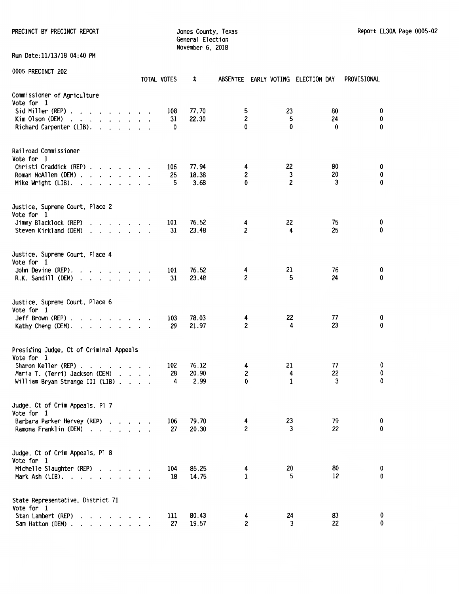General Election November 6, 2018

Run Date:11/13/18 04:40 PM

| 0005 PRECINCT 202                                                                                                                                                                                                                                                                                                                                   | TOTAL VOTES |                | x                      |                                   |              | ABSENTEE EARLY VOTING ELECTION DAY | PROVISIONAL           |
|-----------------------------------------------------------------------------------------------------------------------------------------------------------------------------------------------------------------------------------------------------------------------------------------------------------------------------------------------------|-------------|----------------|------------------------|-----------------------------------|--------------|------------------------------------|-----------------------|
| Commissioner of Agriculture<br>Vote for 1<br>Sid Miller (REP).<br>the contract of the contract of the contract of the contract of the contract of the contract of the contract of<br>Kim Olson (DEM)<br>the contract of the contract of the contract of the contract of the contract of the contract of the contract of<br>Richard Carpenter (LIB). |             | 108<br>31<br>0 | 77.70<br>22.30         | 5<br>$\overline{\mathbf{c}}$<br>0 | 23<br>5<br>0 | 80<br>24<br>0                      | 0<br>0<br>$\mathbf 0$ |
| Railroad Commissioner<br>Vote for 1<br>Christi Craddick (REP)<br>Roman McAllen (DEM)<br>Mike Wright $(LIB)$ .                                                                                                                                                                                                                                       |             | 106<br>25<br>5 | 77.94<br>18.38<br>3.68 | 4<br>2<br>0                       | 22<br>3<br>2 | 80<br>20<br>3                      | 0<br>0<br>0           |
| Justice, Supreme Court, Place 2<br>Vote for 1<br>Jimmy Blacklock (REP)<br>Steven Kirkland (DEM)<br>$\cdot$ $\cdot$ $\cdot$ $\cdot$ $\cdot$ $\cdot$ $\cdot$ $\cdot$                                                                                                                                                                                  |             | 101<br>31      | 76.52<br>23.48         | 4<br>$\overline{c}$               | 22<br>4      | 75<br>25                           | 0<br>0                |
| Justice, Supreme Court, Place 4<br>Vote for 1<br>John Devine (REP).<br>$\cdot$ $\cdot$ $\cdot$ $\cdot$ $\cdot$ $\cdot$ $\cdot$ $\cdot$<br>R.K. Sandill (DEM)<br>the contract of the contract of the                                                                                                                                                 |             | 101<br>31      | 76.52<br>23.48         | 4<br>$\overline{c}$               | 21<br>5      | 76<br>24                           | 0<br>0                |
| Justice, Supreme Court, Place 6<br>Vote for 1<br>$Jeff$ Brown (REP) $\ldots$ $\ldots$ $\ldots$ $\ldots$<br>Kathy Cheng (DEM). $\cdots$                                                                                                                                                                                                              |             | 103<br>29      | 78.03<br>21.97         | 4<br>$\overline{c}$               | 22<br>4      | 77<br>23                           | 0<br>0                |
| Presiding Judge, Ct of Criminal Appeals<br>Vote for 1<br>Sharon Keller (REP).<br>$\mathbf{r}$<br>$\cdot$<br>Maria T. (Terri) Jackson (DEM)<br>William Bryan Strange III (LIB)                                                                                                                                                                       |             | 102<br>28<br>4 | 76.12<br>20.90<br>2.99 | 4<br>2<br>$\mathbf{0}$            | 21<br>4<br>1 | 77<br>22<br>3                      | 0<br>0<br>0           |
| Judge, Ct of Crim Appeals, Pl 7<br>Vote for 1<br>Barbara Parker Hervey (REP)<br>Ramona Franklin (DEM) .<br>and the second control of the second                                                                                                                                                                                                     |             | 106<br>27      | 79.70<br>20.30         | 4<br>2                            | 23<br>3      | 79<br>22                           | 0<br>0                |
| Judge, Ct of Crim Appeals, Pl 8<br>Vote for 1<br>Michelle Slaughter (REP)<br>Mark Ash $(LIB)$ .                                                                                                                                                                                                                                                     |             | 104<br>18      | 85.25<br>14.75         | 4<br>1                            | 20<br>5      | 80<br>12                           | 0<br>0                |
| State Representative, District 71<br>Vote for 1<br>Stan Lambert (REP)<br>Sam Hatton (DEM).<br>$\mathbf{r}$ , $\mathbf{r}$ , $\mathbf{r}$ , $\mathbf{r}$                                                                                                                                                                                             |             | 111<br>27      | 80.43<br>19.57         | 4<br>2                            | 24<br>3      | 83<br>22                           | 0<br>0                |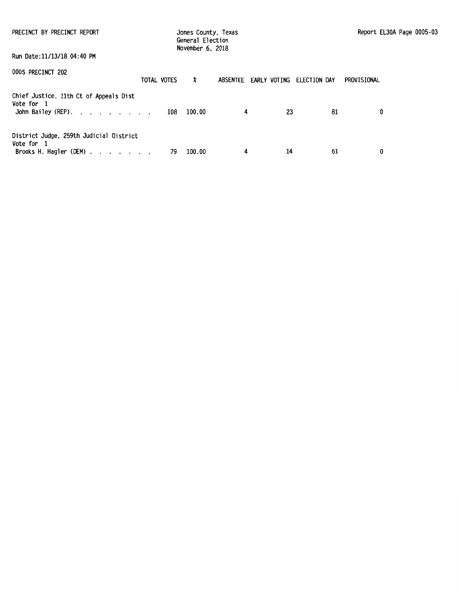| PRECINCT BY PRECINCT REPORT                                                                                | Jones County, Texas<br>General Election<br>November 6, 2018 |                                    |    |             | Report EL30A Page 0005-03 |
|------------------------------------------------------------------------------------------------------------|-------------------------------------------------------------|------------------------------------|----|-------------|---------------------------|
| Run Date:11/13/18 04:40 PM                                                                                 |                                                             |                                    |    |             |                           |
| 0005 PRECINCT 202<br>TOTAL VOTES                                                                           | x                                                           | ABSENTEE EARLY VOTING ELECTION DAY |    | PROVISIONAL |                           |
| Chief Justice, 11th Ct of Appeals Dist<br>Vote for 1<br>John Bailey (REP). 108 100.00                      |                                                             | 4                                  | 23 | 81          | 0                         |
| District Judge, 259th Judicial District<br>Vote for 1<br>Brooks H. Hagler (DEM) $\ldots$ $\ldots$ $\ldots$ | 100.00<br>79                                                | 4                                  | 14 | 61          | 0                         |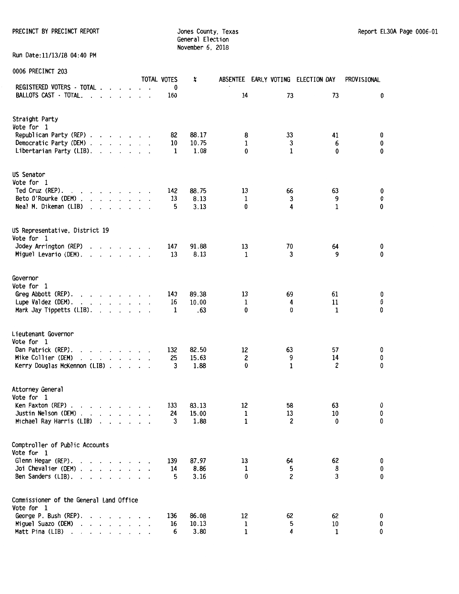PRECINCT BY PRECINCT REPORT **Subset County, Texas** Jones County, Texas Report EL30A Page 0006-01

General Election November 6, 2018

Run Date:11/13/18 04:40 PM

| <b>OOOO FINECING LEGS</b>                                                                |                                                                                                                                               |                      |              |                 |  | TOTAL VOTES | x             |               | ABSENTEE EARLY VOTING ELECTION DAY |                      | PROVISIONAL |
|------------------------------------------------------------------------------------------|-----------------------------------------------------------------------------------------------------------------------------------------------|----------------------|--------------|-----------------|--|-------------|---------------|---------------|------------------------------------|----------------------|-------------|
| REGISTERED VOTERS - TOTAL                                                                |                                                                                                                                               |                      |              |                 |  | 0           |               |               |                                    |                      |             |
| BALLOTS CAST - TOTAL.<br>and the company of                                              |                                                                                                                                               |                      |              |                 |  | 160         |               | 14            | 73                                 | 73                   | 0           |
| Straight Party                                                                           |                                                                                                                                               |                      |              |                 |  |             |               |               |                                    |                      |             |
| Vote for 1                                                                               |                                                                                                                                               |                      |              |                 |  |             |               |               |                                    |                      |             |
| Republican Party (REP)                                                                   |                                                                                                                                               |                      |              |                 |  | 82          | 88.17         | 8             | 33                                 | 41                   | 0           |
| Democratic Party (DEM)<br>Libertarian Party (LIB).                                       |                                                                                                                                               |                      |              |                 |  | 10<br>1     | 10.75<br>1.08 | 1<br>0        | 3<br>$\mathbf{1}$                  | 6<br>0               | 0<br>0      |
|                                                                                          |                                                                                                                                               |                      |              |                 |  |             |               |               |                                    |                      |             |
| US Senator                                                                               |                                                                                                                                               |                      |              |                 |  |             |               |               |                                    |                      |             |
| Vote for 1                                                                               |                                                                                                                                               |                      |              |                 |  |             |               |               |                                    |                      |             |
| Ted Cruz (REP).<br>$\mathbf{r}$ , and $\mathbf{r}$ , and $\mathbf{r}$ , and $\mathbf{r}$ |                                                                                                                                               |                      |              |                 |  | 142         | 88.75         | 13            | 66                                 | 63                   | 0           |
| Beto O'Rourke (DEM)<br>Neal M. Dikeman (LIB)                                             |                                                                                                                                               |                      |              |                 |  | 13<br>5     | 8.13<br>3.13  | 1<br>0        | 3<br>4                             | 9<br>$\mathbf{1}$    | 0<br>0      |
| $\ddot{\phantom{a}}$                                                                     | $\cdot$ $\cdot$                                                                                                                               |                      | $\mathbf{r}$ |                 |  |             |               |               |                                    |                      |             |
| US Representative, District 19                                                           |                                                                                                                                               |                      |              |                 |  |             |               |               |                                    |                      |             |
| Vote for 1                                                                               |                                                                                                                                               |                      |              |                 |  |             |               |               |                                    |                      |             |
| Jodey Arrington (REP)                                                                    | $\mathbf{r}$ , $\mathbf{r}$ , $\mathbf{r}$ , $\mathbf{r}$ , $\mathbf{r}$ , $\mathbf{r}$                                                       |                      |              |                 |  | 147         | 91.88         | 13            | 70                                 | 64                   | 0           |
| Miguel Levario (DEM).<br>and the contract of the contract of                             |                                                                                                                                               |                      |              |                 |  | 13          | 8.13          | 1             | 3                                  | 9                    | 0           |
| Governor                                                                                 |                                                                                                                                               |                      |              |                 |  |             |               |               |                                    |                      |             |
| Vote for 1                                                                               |                                                                                                                                               |                      |              |                 |  |             |               |               |                                    |                      |             |
| Greg Abbott (REP).<br>and a state of the state of the state                              |                                                                                                                                               |                      |              |                 |  | 143         | 89.38         | 13            | 69                                 | 61                   | 0           |
| Lupe Valdez (DEM).<br>and a series and a series                                          |                                                                                                                                               |                      |              |                 |  | 16          | 10.00         | 1             | 4                                  | 11                   | 0           |
| Mark Jay Tippetts (LIB).                                                                 | $\mathbf{r}$ and $\mathbf{r}$ and $\mathbf{r}$                                                                                                |                      |              |                 |  | 1           | .63           | 0             | 0                                  | 1                    | 0           |
| Lieutenant Governor                                                                      |                                                                                                                                               |                      |              |                 |  |             |               |               |                                    |                      |             |
| Vote for 1                                                                               |                                                                                                                                               |                      |              |                 |  |             |               |               |                                    |                      |             |
| Dan Patrick (REP).<br>$\cdot$ $\cdot$ $\cdot$ $\cdot$ $\cdot$ $\cdot$ $\cdot$ $\cdot$    |                                                                                                                                               |                      |              |                 |  | 132         | 82.50         | 12            | 63                                 | 57                   | 0           |
| Mike Collier (DEM)<br>and a series and a                                                 |                                                                                                                                               |                      |              |                 |  | 25<br>3     | 15.63         | 2<br>$\bf{0}$ | 9<br>$\mathbf{1}$                  | 14<br>$\overline{c}$ | 0<br>0      |
| Kerry Douglas McKennon (LIB)                                                             |                                                                                                                                               |                      |              |                 |  |             | 1.88          |               |                                    |                      |             |
| Attorney General                                                                         |                                                                                                                                               |                      |              |                 |  |             |               |               |                                    |                      |             |
| Vote for 1                                                                               |                                                                                                                                               |                      |              |                 |  |             |               |               |                                    |                      |             |
| Ken Paxton (REP).<br>the contract of the contract of                                     |                                                                                                                                               |                      |              |                 |  | 133         | 83.13         | 12            | 58                                 | 63                   | 0           |
| Justin Nelson (DEM)<br>Michael Ray Harris (LIB)                                          | $\cdot$ $\cdot$ $\cdot$ $\cdot$                                                                                                               |                      |              |                 |  | 24<br>3     | 15.00<br>1.88 | 1<br>1        | 13<br>2                            | 10<br>0              | 0<br>0      |
|                                                                                          |                                                                                                                                               |                      |              |                 |  |             |               |               |                                    |                      |             |
| Comptroller of Public Accounts                                                           |                                                                                                                                               |                      |              |                 |  |             |               |               |                                    |                      |             |
| Vote for 1                                                                               |                                                                                                                                               |                      |              |                 |  |             |               |               |                                    |                      |             |
| Glenn Hegar (REP).                                                                       | $\mathbf{r}$ , $\mathbf{r}$ , $\mathbf{r}$ , $\mathbf{r}$                                                                                     |                      |              |                 |  | 139         | 87.97         | 13            | 64                                 | 62                   | 0           |
| Joi Chevalier (DEM).                                                                     | and a state of the state                                                                                                                      |                      |              |                 |  | 14<br>5     | 8.86          | 1<br>0        | 5<br>2                             | 8<br>3               | 0<br>0      |
| Ben Sanders (LIB).                                                                       |                                                                                                                                               |                      |              |                 |  |             | 3.16          |               |                                    |                      |             |
| Commissioner of the General Land Office                                                  |                                                                                                                                               |                      |              |                 |  |             |               |               |                                    |                      |             |
| Vote for 1                                                                               |                                                                                                                                               |                      |              |                 |  |             |               |               |                                    |                      |             |
| George P. Bush (REP).                                                                    |                                                                                                                                               |                      |              |                 |  | 136         | 86.08         | 12            | 62                                 | 62                   | 0           |
| Miguel Suazo (DEM)<br>Matt Pina (LIB)                                                    | $\cdot$                                                                                                                                       | $\ddot{\phantom{0}}$ |              | $\cdot$ $\cdot$ |  | 16<br>6     | 10.13<br>3.80 | 1<br>1        | 5<br>4                             | $10\,$<br>1          | 0<br>0      |
| $\ddot{\phantom{1}}$<br>$\ddot{\phantom{0}}$                                             | $\begin{array}{cccccccccccccc} \bullet & \bullet & \bullet & \bullet & \bullet & \bullet & \bullet & \bullet & \bullet & \bullet \end{array}$ |                      |              |                 |  |             |               |               |                                    |                      |             |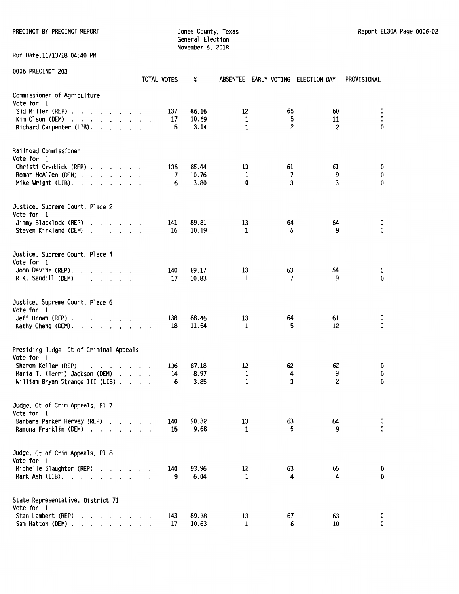PRECINCT BY PRECINCT REPORT COUNTER SECTION OF STRAINING STRAINING STRAINING SECTION AND REPORT EL30A Page 0006-02

General Election November 6, 2018

Run Date:11/13/18 04:40 PM

| 0006 PRECINCT 203                                                                                                                                                                                                                      | TOTAL VOTES | x                           | ABSENTEE EARLY VOTING ELECTION DAY |              |                           | PROVISIONAL           |
|----------------------------------------------------------------------------------------------------------------------------------------------------------------------------------------------------------------------------------------|-------------|-----------------------------|------------------------------------|--------------|---------------------------|-----------------------|
| Commissioner of Agriculture<br>Vote for 1<br>Sid Miller (REP)<br>Kim Olson (DEM)<br>Richard Carpenter (LIB).                                                                                                                           | 137<br>17   | 86.16<br>10.69<br>5<br>3.14 | 12<br>1<br>1                       | 65<br>5<br>2 | 60<br>11<br>2             | 0<br>0<br>0           |
| Railroad Commissioner<br>Vote for 1<br>Christi Craddick (REP)<br>Roman McAllen (DEM)<br>Mike Wright (LIB). $\ldots$                                                                                                                    | 135<br>17   | 85.44<br>10.76<br>3.80<br>6 | 13<br>1<br>0                       | 61<br>7<br>3 | 61<br>9<br>3              | 0<br>0<br>0           |
| Justice, Supreme Court, Place 2<br>Vote for 1<br>Jimmy Blacklock (REP)<br>$\cdot$ $\cdot$ $\cdot$ $\cdot$ $\cdot$ $\cdot$ $\cdot$<br>Steven Kirkland (DEM)<br>$\mathbf{r}$ , $\mathbf{r}$ , $\mathbf{r}$ , $\mathbf{r}$ , $\mathbf{r}$ | 141<br>16   | 89.81<br>10.19              | 13<br>1                            | 64<br>6      | 64<br>9                   | 0<br>0                |
| Justice, Supreme Court, Place 4<br>Vote for 1<br>John Devine (REP).<br>$\mathbf{r}$ , $\mathbf{r}$ , $\mathbf{r}$ , $\mathbf{r}$ , $\mathbf{r}$<br>R.K. Sandill (DEM)<br>and a series of the control of the                            | 140<br>17   | 89.17<br>10.83              | 13<br>1                            | 63<br>7      | 64<br>9                   | 0<br>$\bf{0}$         |
| Justice, Supreme Court, Place 6<br>Vote for 1<br>Jeff Brown (REP) $\ldots$ $\ldots$ $\ldots$ $\ldots$<br>Kathy Cheng (DEM).                                                                                                            | 138<br>18   | 88.46<br>11.54              | 13<br>1                            | 64<br>5      | 61<br>12                  | 0<br>0                |
| Presiding Judge, Ct of Criminal Appeals<br>Vote for 1<br>Sharon Keller (REP).<br>and the contract of the contract of<br>$\overline{\phantom{a}}$<br>Maria T. (Terri) Jackson (DEM)<br>William Bryan Strange III (LIB)                  | 136<br>14   | 87.18<br>8.97<br>3.85<br>6  | 12<br>1<br>$\mathbf{1}$            | 62<br>4<br>3 | 62<br>9<br>$\overline{c}$ | 0<br>0<br>$\mathbf 0$ |
| Judge, Ct of Crim Appeals, Pl 7<br>Vote for 1<br>Barbara Parker Hervey (REP)<br>Ramona Franklin (DEM).<br>$\overline{\phantom{a}}$                                                                                                     | 140<br>15   | 90.32<br>9.68               | 13<br>1                            | 63<br>5      | 64<br>9                   | 0<br>0                |
| Judge, Ct of Crim Appeals, Pl 8<br>Vote for 1<br>Michelle Slaughter (REP)<br>Mark Ash $(LIB)$ .                                                                                                                                        | 140         | 93.96<br>9<br>6.04          | 12<br>1                            | 63<br>4      | 65<br>4                   | 0<br>0                |
| State Representative, District 71<br>Vote for 1<br>Stan Lambert (REP)<br>Sam Hatton (DEM)                                                                                                                                              | 143<br>17   | 89.38<br>10.63              | 13<br>1                            | 67<br>6      | 63<br>10                  | 0<br>0                |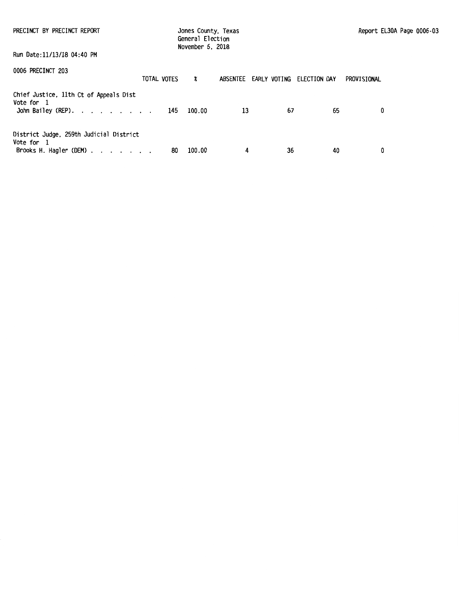| PRECINCT BY PRECINCT REPORT                                                                                |    | Jones County, Texas<br>General Election<br>November 6, 2018 |    |    |                                    |             | Report EL30A Page 0006-03 |  |
|------------------------------------------------------------------------------------------------------------|----|-------------------------------------------------------------|----|----|------------------------------------|-------------|---------------------------|--|
| Run Date:11/13/18 04:40 PM                                                                                 |    |                                                             |    |    |                                    |             |                           |  |
| 0006 PRECINCT 203<br>TOTAL VOTES                                                                           |    | $\boldsymbol{x}$                                            |    |    | ABSENTEE EARLY VOTING ELECTION DAY | PROVISIONAL |                           |  |
| Chief Justice, 11th Ct of Appeals Dist<br>Vote for 1<br>John Bailey (REP). 145 100.00                      |    |                                                             | 13 | 67 | 65                                 |             | 0                         |  |
| District Judge, 259th Judicial District<br>Vote for 1<br>Brooks H. Hagler (DEM) $\ldots$ $\ldots$ $\ldots$ | 80 | 100.00                                                      | 4  | 36 | 40                                 |             | 0                         |  |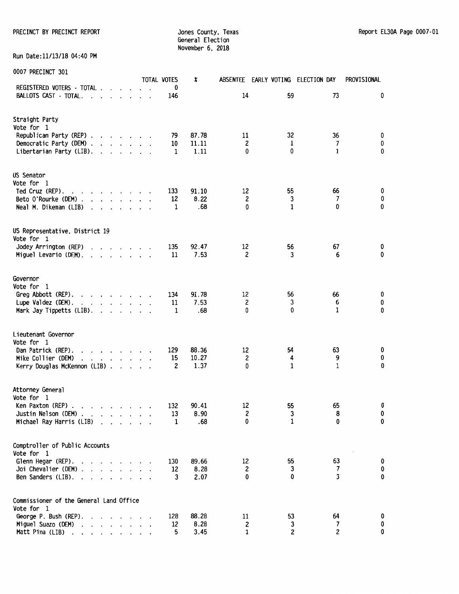PRECINCT BY PRECINCT REPORT **Subset County, Texas Report EL30A Page 0007**-01

General Election November 6, 2018

Run Date:11/13/18 04:40 PM

| <b>UUU/ PRECINCI 3UI</b>                                                                                                                                                                                                                                                                                                          |         | TOTAL VOTES    | x             |                   | ABSENTEE EARLY VOTING ELECTION DAY |              | PROVISIONAL |
|-----------------------------------------------------------------------------------------------------------------------------------------------------------------------------------------------------------------------------------------------------------------------------------------------------------------------------------|---------|----------------|---------------|-------------------|------------------------------------|--------------|-------------|
| REGISTERED VOTERS - TOTAL                                                                                                                                                                                                                                                                                                         |         | 0              |               |                   |                                    |              |             |
| BALLOTS CAST - TOTAL.<br>$\cdot$ $\cdot$ $\cdot$ $\cdot$ $\cdot$                                                                                                                                                                                                                                                                  |         | 146            |               | 14                | 59                                 | 73           | 0           |
| Straight Party                                                                                                                                                                                                                                                                                                                    |         |                |               |                   |                                    |              |             |
| Vote for 1                                                                                                                                                                                                                                                                                                                        |         |                |               |                   |                                    |              |             |
| Republican Party (REP)                                                                                                                                                                                                                                                                                                            |         | 79             | 87.78         | 11                | 32                                 | 36<br>7      | 0<br>0      |
| Democratic Party (DEM)<br>Libertarian Party (LIB).                                                                                                                                                                                                                                                                                |         | 10<br>1        | 11.11<br>1.11 | 2<br>$\mathbf{0}$ | 1<br>0                             | $\mathbf{1}$ | 0           |
| US Senator                                                                                                                                                                                                                                                                                                                        |         |                |               |                   |                                    |              |             |
| Vote for 1                                                                                                                                                                                                                                                                                                                        |         |                |               |                   |                                    |              |             |
| Ted Cruz (REP).<br>and a strain and a strain                                                                                                                                                                                                                                                                                      |         | 133            | 91.10         | 12                | 55                                 | 66<br>7      | 0<br>0      |
| Beto O'Rourke (DEM)<br>Neal M. Dikeman (LIB)                                                                                                                                                                                                                                                                                      |         | 12<br>1        | 8.22<br>.68   | 2<br>0            | 3<br>1                             | 0            | 0           |
| $\mathbf{r}$ , and $\mathbf{r}$ , and $\mathbf{r}$ , and $\mathbf{r}$                                                                                                                                                                                                                                                             |         |                |               |                   |                                    |              |             |
| US Representative, District 19                                                                                                                                                                                                                                                                                                    |         |                |               |                   |                                    |              |             |
| Vote for 1                                                                                                                                                                                                                                                                                                                        |         | 135            | 92.47         | 12                | 56                                 | 67           | 0           |
| Jodey Arrington (REP)<br>Miguel Levario (DEM).<br>$\mathbf{r}$ , $\mathbf{r}$ , $\mathbf{r}$ , $\mathbf{r}$ , $\mathbf{r}$                                                                                                                                                                                                        |         | 11             | 7.53          | 2                 | 3                                  | 6            | 0           |
|                                                                                                                                                                                                                                                                                                                                   |         |                |               |                   |                                    |              |             |
| Governor                                                                                                                                                                                                                                                                                                                          |         |                |               |                   |                                    |              |             |
| Vote for 1                                                                                                                                                                                                                                                                                                                        |         |                | 91.78         | 12                | 56                                 | 66           | 0           |
| Greg Abbott (REP).<br>Lupe Valdez (DEM).<br>the contract of the contract of                                                                                                                                                                                                                                                       |         | 134<br>11      | 7.53          | 2                 | 3                                  | 6            | 0           |
| Mark Jay Tippetts (LIB).                                                                                                                                                                                                                                                                                                          |         | 1              | .68           | 0                 | 0                                  | 1            | 0           |
| Lieutenant Governor                                                                                                                                                                                                                                                                                                               |         |                |               |                   |                                    |              |             |
| Vote for 1<br>Dan Patrick (REP).<br>$\cdot$ $\cdot$ $\cdot$ $\cdot$ $\cdot$ $\cdot$ $\cdot$ $\cdot$                                                                                                                                                                                                                               |         | 129            | 88.36         | 12                | 54                                 | 63           | 0           |
| Mike Collier (DEM)<br>$\cdot$ $\cdot$ $\cdot$ $\cdot$ $\cdot$ $\cdot$ $\cdot$ $\cdot$                                                                                                                                                                                                                                             |         | 15             | 10.27         | 2                 | 4                                  | 9            | 0           |
| Kerry Douglas McKennon (LIB)                                                                                                                                                                                                                                                                                                      |         | $\overline{c}$ | 1.37          | 0                 | $\mathbf{1}$                       | $\mathbf{1}$ | 0           |
| Attorney General                                                                                                                                                                                                                                                                                                                  |         |                |               |                   |                                    |              |             |
| Vote for 1                                                                                                                                                                                                                                                                                                                        |         |                |               |                   | 55                                 | 65           | 0           |
| Ken Paxton (REP)<br>Justin Nelson (DEM) $\ldots$ $\ldots$ $\ldots$                                                                                                                                                                                                                                                                |         | 132<br>13      | 90.41<br>8.90 | 12<br>2           | 3                                  | 8            | 0           |
| Michael Ray Harris (LIB)<br>$\cdot$ $\cdot$ $\cdot$                                                                                                                                                                                                                                                                               |         | $\mathbf{1}$   | .68           | 0                 | 1                                  | 0            | 0           |
| Comptroller of Public Accounts                                                                                                                                                                                                                                                                                                    |         |                |               |                   |                                    |              |             |
| Vote for 1<br>Glenn Hegar (REP).                                                                                                                                                                                                                                                                                                  |         | 130            | 89.66         | 12                | 55                                 | 63           | 0           |
| $\mathbf{r}$ . The set of the set of the set of the set of the set of the set of the set of the set of the set of the set of the set of the set of the set of the set of the set of the set of the set of the set of the set of t<br>$\cdot$<br>Joi Chevalier (DEM).<br>$\mathbf{r}$ , $\mathbf{r}$ , $\mathbf{r}$ , $\mathbf{r}$ |         | 12             | 8.28          | 2                 | 3                                  | 7            | 0           |
| Ben Sanders (LIB).<br>$\mathcal{A}$ , and $\mathcal{A}$ , and $\mathcal{A}$<br>$\overline{\phantom{a}}$                                                                                                                                                                                                                           |         | 3              | 2.07          | 0                 | 0                                  | 3            | 0           |
| Commissioner of the General Land Office                                                                                                                                                                                                                                                                                           |         |                |               |                   |                                    |              |             |
| Vote for 1<br>George P. Bush (REP).<br>$\mathbf{r}$ . The set of the set of the set of the set of the set of the set of the set of the set of the set of the set of the set of the set of the set of the set of the set of the set of the set of the set of the set of t<br>$\ddot{\phantom{a}}$                                  |         | 128            | 88.28         | 11                | 53                                 | 64           | 0           |
| Miguel Suazo (DEM) .<br>$\mathbf{r}$ . The set of the set of the set of the set of the set of the set of the set of the set of the set of the set of the set of the set of the set of the set of the set of the set of the set of the set of the set of t                                                                         |         | 12             | 8.28          | 2                 | 3                                  | 7            | 0           |
| Matt Pina (LIB)<br>$\mathbf{r}$ , and $\mathbf{r}$ , and $\mathbf{r}$ , and $\mathbf{r}$                                                                                                                                                                                                                                          | $\cdot$ | 5              | 3.45          | $\mathbf{1}$      | 2                                  | 2            | 0           |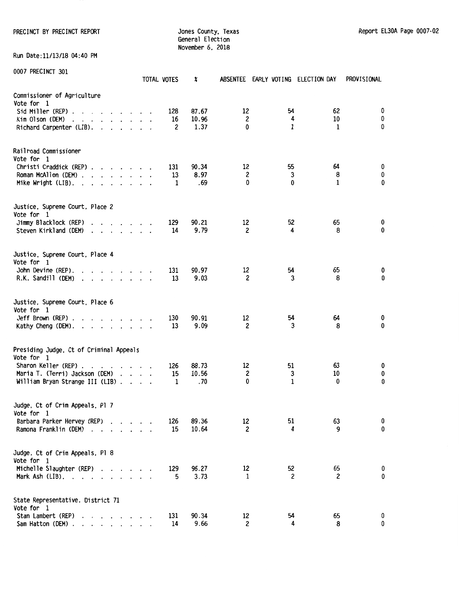PRECINCT BY PRECINCT REPORT COUNTER STATES ON MARKET SOMETHER STATES ON THE REPORT ELSOA Page 0007-02

General Election November 6, 2018

Run Oate:11/13/18 04:40 PM

| <b><i>UUUI PRECINCI SUI</i></b>                                                                                                                                                                                                                                                                                                                                                                                                                                                                                                                                                                        | TOTAL VOTES    | X                      |                           |              | ABSENTEE EARLY VOTING ELECTION DAY | PROVISIONAL |
|--------------------------------------------------------------------------------------------------------------------------------------------------------------------------------------------------------------------------------------------------------------------------------------------------------------------------------------------------------------------------------------------------------------------------------------------------------------------------------------------------------------------------------------------------------------------------------------------------------|----------------|------------------------|---------------------------|--------------|------------------------------------|-------------|
| Commissioner of Agriculture<br>Vote for 1<br>Sid Miller (REP) $\ldots$ $\ldots$ $\ldots$ $\ldots$<br>Kim Olson (DEM)<br>and the contract of the contract of the contract of the contract of the contract of the contract of the contract of the contract of the contract of the contract of the contract of the contract of the contract of the contra<br>Richard Carpenter (LIB).                                                                                                                                                                                                                     | 128<br>16<br>2 | 87.67<br>10.96<br>1.37 | 12<br>$\overline{c}$<br>0 | 54<br>4<br>1 | 62<br>10<br>$\mathbf{1}$           | 0<br>0<br>0 |
| Railroad Commissioner<br>Vote for 1<br>Christi Craddick (REP)<br>Roman McAllen (DEM)<br>Mike Wright $(LIB)$ .                                                                                                                                                                                                                                                                                                                                                                                                                                                                                          | 131<br>13<br>1 | 90.34<br>8.97<br>.69   | 12<br>$\overline{c}$<br>0 | 55<br>3<br>0 | 64<br>8<br>1                       | 0<br>0<br>0 |
| Justice, Supreme Court, Place 2<br>Vote for 1<br>Jimmy Blacklock (REP)<br>$\cdot$ $\cdot$ $\cdot$ $\cdot$ $\cdot$ $\cdot$ $\cdot$<br>Steven Kirkland (DEM)<br>$\begin{array}{cccccccccccccc} \bullet & \bullet & \bullet & \bullet & \bullet & \bullet & \bullet & \bullet & \bullet & \bullet & \bullet & \bullet \end{array}$                                                                                                                                                                                                                                                                        | 129<br>14      | 90.21<br>9.79          | 12<br>2                   | 52<br>4      | 65<br>8                            | 0<br>0      |
| Justice, Supreme Court, Place 4<br>Vote for 1<br>John Devine (REP).<br>$\mathbf{r}$ . The contract of the contract of the contract of the contract of the contract of the contract of the contract of the contract of the contract of the contract of the contract of the contract of the contract of th<br>R.K. Sandill (DEM)<br>$\mathbf{r}$ . The set of the set of the set of the set of the set of the set of the set of the set of the set of the set of the set of the set of the set of the set of the set of the set of the set of the set of the set of t<br>$\cdot$<br>$\ddot{\phantom{0}}$ | 131<br>13      | 90.97<br>9.03          | 12<br>2                   | 54<br>3      | 65<br>8                            | 0<br>0      |
| Justice, Supreme Court, Place 6<br>Vote for 1<br>Jeff Brown (REP) $\ldots$ $\ldots$ $\ldots$ $\ldots$<br>Kathy Cheng (DEM).                                                                                                                                                                                                                                                                                                                                                                                                                                                                            | 130<br>13      | 90.91<br>9.09          | 12<br>$\overline{c}$      | 54<br>3      | 64<br>8                            | 0<br>0      |
| Presiding Judge, Ct of Criminal Appeals<br>Vote for 1<br>Sharon Keller (REP).<br>the contract of the con-<br>$\cdot$<br>Maria T. (Terri) Jackson (DEM)<br>William Bryan Strange III (LIB)                                                                                                                                                                                                                                                                                                                                                                                                              | 126<br>15<br>1 | 88.73<br>10.56<br>.70  | 12<br>2<br>0              | 51<br>3<br>1 | 63<br>10<br>0                      | 0<br>0<br>0 |
| Judge, Ct of Crim Appeals, Pl 7<br>Vote for 1<br>Barbara Parker Hervey (REP)<br>Ramona Franklin (DEM)<br>$\overline{\phantom{a}}$<br>$\cdot$ $\cdot$ $\cdot$ $\cdot$ $\cdot$                                                                                                                                                                                                                                                                                                                                                                                                                           | 126<br>15      | 89.36<br>10.64         | 12<br>2                   | 51<br>4      | 63<br>9                            | 0<br>0      |
| Judge, Ct of Crim Appeals, Pl 8<br>Vote for 1<br>Michelle Slaughter (REP)<br>Mark Ash $(LIB)$ .                                                                                                                                                                                                                                                                                                                                                                                                                                                                                                        | 129<br>5       | 96.27<br>3.73          | 12<br>$\mathbf{1}$        | 52<br>2      | 65<br>$\overline{c}$               | 0<br>0      |
| State Representative, District 71<br>Vote for 1<br>Stan Lambert (REP)<br>Sam Hatton (DEM)                                                                                                                                                                                                                                                                                                                                                                                                                                                                                                              | 131<br>14      | 90.34<br>9.66          | 12<br>2                   | 54<br>4      | 65<br>8                            | 0<br>0      |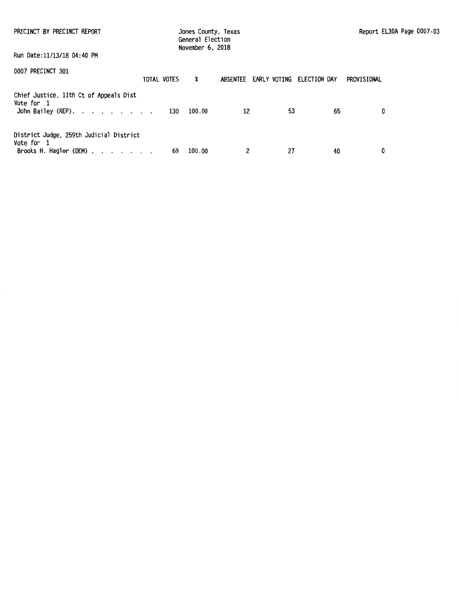| PRECINCT BY PRECINCT REPORT                                                                                                            | Jones County, Texas<br>General Election<br>November 6, 2018 |                                    |    |    | Report EL30A Page 0007-03 |
|----------------------------------------------------------------------------------------------------------------------------------------|-------------------------------------------------------------|------------------------------------|----|----|---------------------------|
| Run Date:11/13/18 04:40 PM                                                                                                             |                                                             |                                    |    |    |                           |
| 0007 PRECINCT 301<br>TOTAL VOTES                                                                                                       | x                                                           | ABSENTEE EARLY VOTING ELECTION DAY |    |    | PROVISIONAL               |
| Chief Justice, 11th Ct of Appeals Dist<br>Vote for 1<br>John Bailey (REP). $\cdot \cdot \cdot \cdot \cdot \cdot \cdot \cdot \cdot 130$ | 100.00                                                      | 12                                 | 53 | 65 | 0                         |
| District Judge, 259th Judicial District<br>Vote for 1<br>Brooks H. Hagler (DEM) $\ldots$ $\ldots$ $\ldots$                             | 100.00<br>69                                                | 2                                  | 27 | 40 | 0                         |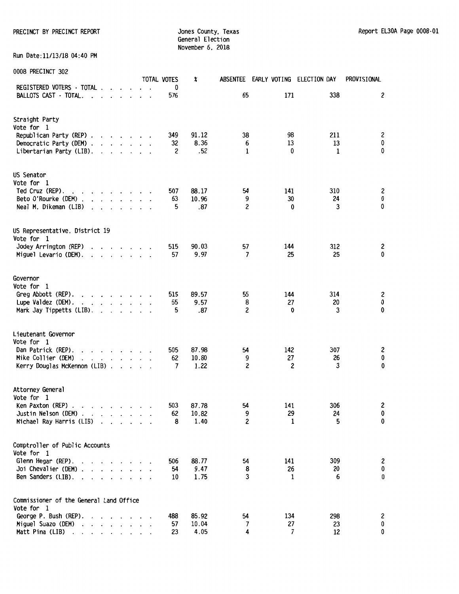PRECINCT BY PRECINCT REPORT COUNTER STATES OF STATES County, Texas Report EL30A Page 0008-01

General Election November 6. 2018

Run Date:11/13/18 04:40 PM

| <b><i>UUUO FINECINCI JUZ</i></b>                                                                                                                                                                                                                                                                                                                                                                                                                                                           | TOTAL VOTES | X              | <b>ABSENTEE</b> | EARLY VOTING ELECTION DAY |           | PROVISIONAL    |
|--------------------------------------------------------------------------------------------------------------------------------------------------------------------------------------------------------------------------------------------------------------------------------------------------------------------------------------------------------------------------------------------------------------------------------------------------------------------------------------------|-------------|----------------|-----------------|---------------------------|-----------|----------------|
| REGISTERED VOTERS · TOTAL<br>BALLOTS CAST · TOTAL.<br>$\cdot$ $\cdot$ $\cdot$ $\cdot$<br>$\ddot{\phantom{a}}$                                                                                                                                                                                                                                                                                                                                                                              | 0<br>576    |                | 65              | 171                       | 338       | 2              |
|                                                                                                                                                                                                                                                                                                                                                                                                                                                                                            |             |                |                 |                           |           |                |
| Straight Party                                                                                                                                                                                                                                                                                                                                                                                                                                                                             |             |                |                 |                           |           |                |
| Vote for 1<br>Republican Party (REP)                                                                                                                                                                                                                                                                                                                                                                                                                                                       | 349         | 91.12          | 38              | 98                        | 211       | 2              |
| Democratic Party (DEM)                                                                                                                                                                                                                                                                                                                                                                                                                                                                     | 32          | 8.36           | 6               | 13                        | 13        | 0              |
| Libertarian Party (LIB).                                                                                                                                                                                                                                                                                                                                                                                                                                                                   | 2           | .52            | 1               | 0                         | 1         | 0              |
| US Senator                                                                                                                                                                                                                                                                                                                                                                                                                                                                                 |             |                |                 |                           |           |                |
| Vote for 1                                                                                                                                                                                                                                                                                                                                                                                                                                                                                 |             |                |                 |                           |           |                |
| Ted Cruz (REP).<br>$\mathbf{r}$ , and $\mathbf{r}$ , and $\mathbf{r}$ , and $\mathbf{r}$                                                                                                                                                                                                                                                                                                                                                                                                   | 507         | 88.17          | 54              | 141                       | 310       | 2              |
| Beto O'Rourke (DEM).<br>$\mathbf{r}$ , and $\mathbf{r}$ , and $\mathbf{r}$                                                                                                                                                                                                                                                                                                                                                                                                                 | 63          | 10.96          | 9               | 30                        | 24        | 0              |
| Neal M. Dikeman (LIB)<br>$\cdot$ $\cdot$                                                                                                                                                                                                                                                                                                                                                                                                                                                   | 5           | .87            | 2               | 0                         | 3         | 0              |
| US Representative, District 19                                                                                                                                                                                                                                                                                                                                                                                                                                                             |             |                |                 |                           |           |                |
| Vote for 1                                                                                                                                                                                                                                                                                                                                                                                                                                                                                 |             |                |                 |                           |           |                |
| Jodey Arrington (REP)<br>$\mathbf{r}$ , $\mathbf{r}$ , $\mathbf{r}$ , $\mathbf{r}$                                                                                                                                                                                                                                                                                                                                                                                                         | 515         | 90.03          | 57              | 144                       | 312       | 2              |
| Miguel Levario (DEM).<br>$\mathbf{r}$ , and $\mathbf{r}$ , and $\mathbf{r}$ , and $\mathbf{r}$                                                                                                                                                                                                                                                                                                                                                                                             | 57          | 9.97           | 7               | 25                        | 25        | 0              |
| Governor                                                                                                                                                                                                                                                                                                                                                                                                                                                                                   |             |                |                 |                           |           |                |
| Vote for 1                                                                                                                                                                                                                                                                                                                                                                                                                                                                                 |             |                |                 |                           |           |                |
| Greg Abbott (REP).<br>the contract of the contract of the                                                                                                                                                                                                                                                                                                                                                                                                                                  | 515         | 89.57          | 55              | 144                       | 314       | 2              |
| Lupe Valdez (DEM).                                                                                                                                                                                                                                                                                                                                                                                                                                                                         | 55          | 9.57           | 8<br>2          | 27<br>0                   | 20        | $\pmb{0}$<br>0 |
| Mark Jay Tippetts (LIB).<br>$\mathcal{L}=\mathcal{L}=\mathcal{L}=\mathcal{L}$                                                                                                                                                                                                                                                                                                                                                                                                              | 5           | .87            |                 |                           | 3         |                |
| Lieutenant Governor                                                                                                                                                                                                                                                                                                                                                                                                                                                                        |             |                |                 |                           |           |                |
| Vote for 1                                                                                                                                                                                                                                                                                                                                                                                                                                                                                 |             |                |                 |                           |           |                |
| Dan Patrick (REP).<br>$\cdot$<br>Mike Collier (DEM)<br>$\mathbf{r}$ and $\mathbf{r}$ and $\mathbf{r}$ and $\mathbf{r}$ and $\mathbf{r}$                                                                                                                                                                                                                                                                                                                                                    | 505<br>62   | 87.98<br>10.80 | 54<br>9         | 142<br>27                 | 307<br>26 | 2<br>0         |
| Kerry Douglas McKennon (LIB)                                                                                                                                                                                                                                                                                                                                                                                                                                                               | 7           | 1.22           | 2               | 2                         | 3         | 0              |
|                                                                                                                                                                                                                                                                                                                                                                                                                                                                                            |             |                |                 |                           |           |                |
| Attorney General<br>Vote for 1                                                                                                                                                                                                                                                                                                                                                                                                                                                             |             |                |                 |                           |           |                |
| Ken Paxton (REP).                                                                                                                                                                                                                                                                                                                                                                                                                                                                          | 503         | 87.78          | 54              | 141                       | 306       | 2              |
| . The contract of the contract of the contract of the contract of the contract of the contract of the contract of the contract of the contract of the contract of the contract of the contract of the contract of the contrac<br>Justin Nelson (DEM).<br>$\mathbf{r}$ . The set of the set of the set of the set of the set of the set of the set of the set of the set of the set of the set of the set of the set of the set of the set of the set of the set of the set of the set of t | 62          | 10.82          | 9               | 29                        | 24        | 0              |
| Michael Ray Harris (LIB)<br>$\cdot$ $\cdot$ $\cdot$<br>$\ddot{\phantom{a}}$                                                                                                                                                                                                                                                                                                                                                                                                                | 8           | 1.40           | 2               | 1                         | 5         | 0              |
| Comptroller of Public Accounts                                                                                                                                                                                                                                                                                                                                                                                                                                                             |             |                |                 |                           |           |                |
| Vote for 1                                                                                                                                                                                                                                                                                                                                                                                                                                                                                 |             |                |                 |                           |           |                |
| Glenn Hegar (REP).<br>$\cdot$ $\cdot$ $\cdot$ $\cdot$ $\cdot$ $\cdot$                                                                                                                                                                                                                                                                                                                                                                                                                      | 506         | 88.77          | 54              | 141                       | 309       | 2              |
| Joi Chevalier (DEM).<br>and a state of the state                                                                                                                                                                                                                                                                                                                                                                                                                                           | 54          | 9.47           | 8               | 26                        | 20        | $\pmb{0}$      |
| Ben Sanders (LIB).<br>$\ddot{\phantom{0}}$                                                                                                                                                                                                                                                                                                                                                                                                                                                 | 10          | 1.75           | 3               | 1                         | 6         | 0              |
| Commissioner of the General Land Office                                                                                                                                                                                                                                                                                                                                                                                                                                                    |             |                |                 |                           |           |                |
| Vote for 1                                                                                                                                                                                                                                                                                                                                                                                                                                                                                 |             |                |                 |                           |           |                |
| George P. Bush (REP).                                                                                                                                                                                                                                                                                                                                                                                                                                                                      | 488         | 85.92          | 54              | 134                       | 298       | 2              |
| Miguel Suazo (DEM)<br>Matt Pina (LIB)                                                                                                                                                                                                                                                                                                                                                                                                                                                      | 57<br>23    | 10.04<br>4.05  | 7<br>4          | 27<br>7                   | 23<br>12  | 0<br>0         |
| $\begin{array}{cccccccccccccc} \bullet & \bullet & \bullet & \bullet & \bullet & \bullet & \bullet & \bullet & \bullet \end{array}$<br>$\cdot$<br>$\cdot$                                                                                                                                                                                                                                                                                                                                  |             |                |                 |                           |           |                |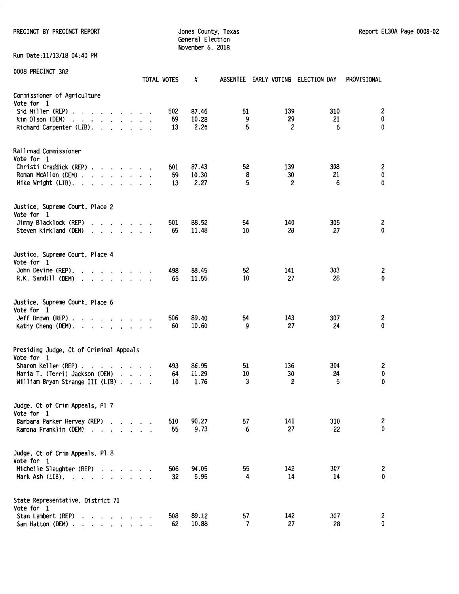PRECINCT BY PRECINCT REPORT COUNTER STATES ON MARKET SOMETHING SUPPORT SHOW AND REPORT EL30A Page 0008-02

General Election November 6, 2018

Run Date:11/13/18 04:40 PM

| <b><i>UNNO LUCTION AND</i></b>                                                                                                                                                                                                         | <b>TOTAL VOTES</b> | X                      |               | ABSENTEE EARLY VOTING ELECTION DAY |                | PROVISIONAL         |
|----------------------------------------------------------------------------------------------------------------------------------------------------------------------------------------------------------------------------------------|--------------------|------------------------|---------------|------------------------------------|----------------|---------------------|
| Commissioner of Agriculture<br>Vote for 1<br>Sid Miller (REP) $\cdots$ $\cdots$ $\cdots$ $\cdots$<br>Kim Olson (DEM)<br>and a series and a series of the<br>Richard Carpenter (LIB).                                                   | 502<br>59<br>13    | 87.46<br>10.28<br>2.26 | 51<br>9<br>5  | 139<br>29<br>2                     | 310<br>21<br>6 | 2<br>$\pmb{0}$<br>0 |
| Railroad Commissioner<br>Vote for 1<br>Christi Craddick (REP)<br>Roman McAllen (DEM)<br>Mike Wright (LIB). .<br>$\sim$<br>$\mathbf{r}$ , $\mathbf{r}$ , $\mathbf{r}$ , $\mathbf{r}$ , $\mathbf{r}$                                     | 501<br>59<br>13    | 87.43<br>10.30<br>2.27 | 52<br>8<br>5  | 139<br>30<br>2                     | 308<br>21<br>6 | 2<br>0<br>0         |
| Justice, Supreme Court, Place 2<br>Vote for 1<br>Jimmy Blacklock (REP)<br>.<br>Steven Kirkland (DEM)<br>$\mathbf{r}$ , $\mathbf{r}$ , $\mathbf{r}$ , $\mathbf{r}$ , $\mathbf{r}$                                                       | 501<br>65          | 88.52<br>11.48         | 54<br>10      | 140<br>28                          | 305<br>27      | 2<br>$\mathbf 0$    |
| Justice, Supreme Court, Place 4<br>Vote for 1<br>John Devine (REP).<br>$\mathbf{r}$ , $\mathbf{r}$ , $\mathbf{r}$ , $\mathbf{r}$ , $\mathbf{r}$<br>R.K. Sandill (DEM)<br>$\cdot$ $\cdot$<br>$\cdot$<br>$\ddot{\phantom{a}}$<br>$\cdot$ | 498<br>65          | 88.45<br>11.55         | 52<br>10      | 141<br>27                          | 303<br>28      | 2<br>0              |
| Justice, Supreme Court, Place 6<br>Vote for 1<br>Jeff Brown (REP).<br>$\mathbf{r}$ , $\mathbf{r}$ , $\mathbf{r}$ , $\mathbf{r}$ , $\mathbf{r}$ , $\mathbf{r}$<br>Kathy Cheng (DEM).                                                    | 506<br>60          | 89.40<br>10.60         | 54<br>9       | 143<br>27                          | 307<br>24      | 2<br>0              |
| Presiding Judge, Ct of Criminal Appeals<br>Vote for 1<br>Sharon Keller (REP).<br>$\mathbf{r}$<br>Maria T. (Terri) Jackson (DEM)<br>William Bryan Strange III (LIB).<br>$\cdot$                                                         | 493<br>64<br>10    | 86.95<br>11.29<br>1.76 | 51<br>10<br>3 | 136<br>30<br>2                     | 304<br>24<br>5 | 2<br>$\pmb{0}$<br>0 |
| Judge, Ct of Crim Appeals, Pl 7<br>Vote for 1<br>Barbara Parker Hervey (REP)<br>Ramona Franklin (DEM)<br>$\overline{\phantom{a}}$<br>$\cdot$ $\cdot$ $\cdot$                                                                           | 510<br>55          | 90.27<br>9.73          | 57<br>6       | 141<br>27                          | 310<br>22      | 2<br>0              |
| Judge, Ct of Crim Appeals, Pl 8<br>Vote for 1<br>Michelle Slaughter (REP)<br>$\ddot{\phantom{1}}$<br>$\cdot$<br>Mark Ash (LIB). .<br>$\overline{\phantom{a}}$<br>$\overline{\phantom{a}}$                                              | 506<br>32          | 94.05<br>5.95          | 55<br>4       | 142<br>14                          | 307<br>14      | 2<br>0              |
| State Representative, District 71<br>Vote for 1<br>Stan Lambert (REP)<br>$\cdot$<br>Sam Hatton (DEM) .<br>$\mathbf{r}$ , $\mathbf{r}$ , $\mathbf{r}$ , $\mathbf{r}$                                                                    | 508<br>62          | 89.12<br>10.88         | 57<br>7       | 142<br>27                          | 307<br>28      | 2<br>0              |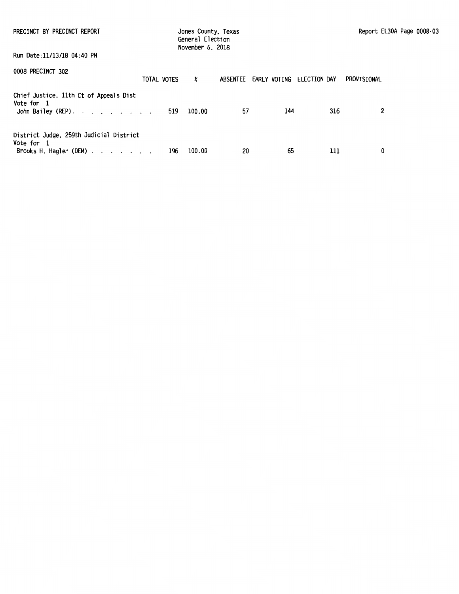| PRECINCT BY PRECINCT REPORT<br>Run Date:11/13/18 04:40 PM                                                  |     | Jones County, Texas<br>General Election<br>November 6, 2018 |                       |     |              | Report EL30A Page 0008-03 |  |
|------------------------------------------------------------------------------------------------------------|-----|-------------------------------------------------------------|-----------------------|-----|--------------|---------------------------|--|
| 0008 PRECINCT 302<br>TOTAL VOTES                                                                           |     | X                                                           | ABSENTEE EARLY VOTING |     | ELECTION DAY | PROVISIONAL               |  |
| Chief Justice, 11th Ct of Appeals Dist<br>Vote for 1<br>John Bailey (REP).                                 | 519 | 100.00                                                      | 57                    | 144 | 316          | 2                         |  |
| District Judge, 259th Judicial District<br>Vote for 1<br>Brooks H. Hagler (DEM) $\ldots$ $\ldots$ $\ldots$ | 196 | 100.00                                                      | 20                    | 65  | 111          | 0                         |  |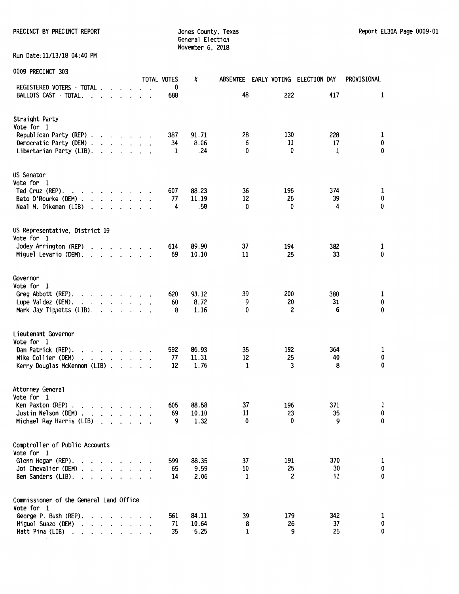PRECINCT BY PRECINCT REPORT **Subset of the State of County, Texas** Report EL30A Page 0009-01

General Election November 6, 2018

Run Date:11/13/18 04:40 PM

| <b>UUUJ FINLUINUI JUJ</b>                                                                                                          |                                                                    |                      |                      |         |  | <b>TOTAL VOTES</b> | X              | <b>ABSENTEE</b> |           | EARLY VOTING ELECTION DAY | PROVISIONAL |
|------------------------------------------------------------------------------------------------------------------------------------|--------------------------------------------------------------------|----------------------|----------------------|---------|--|--------------------|----------------|-----------------|-----------|---------------------------|-------------|
| REGISTERED VOTERS - TOTAL<br>BALLOTS CAST - TOTAL.<br>$\mathbf{r}$ , $\mathbf{r}$ , $\mathbf{r}$ , $\mathbf{r}$                    |                                                                    |                      |                      |         |  | 0<br>688           |                | 48              | 222       | 417                       | 1           |
|                                                                                                                                    |                                                                    |                      |                      |         |  |                    |                |                 |           |                           |             |
| Straight Party<br>Vote for 1                                                                                                       |                                                                    |                      |                      |         |  |                    |                |                 |           |                           |             |
| Republican Party (REP)                                                                                                             |                                                                    |                      |                      |         |  | 387                | 91.71          | 28              | 130       | 228                       | 1           |
| Democratic Party (DEM)                                                                                                             |                                                                    |                      |                      |         |  | 34                 | 8.06           | 6               | 11        | 17                        | 0           |
| Libertarian Party (LIB).                                                                                                           | $\mathbf{r}$ , and $\mathbf{r}$ , and $\mathbf{r}$                 |                      |                      |         |  | 1                  | .24            | $\mathbf{0}$    | 0         | 1                         | 0           |
| US Senator                                                                                                                         |                                                                    |                      |                      |         |  |                    |                |                 |           |                           |             |
| Vote for 1                                                                                                                         |                                                                    |                      |                      |         |  |                    |                |                 |           |                           |             |
| Ted Cruz (REP).<br>$\mathbf{r}$ , and $\mathbf{r}$ , and $\mathbf{r}$ , and $\mathbf{r}$                                           |                                                                    |                      |                      |         |  | 607<br>77          | 88.23<br>11.19 | 36<br>12        | 196<br>26 | 374<br>39                 | 1<br>0      |
| Beto O'Rourke (DEM)<br>Neal M. Dikeman (LIB)<br>$\mathbf{r}$                                                                       | $\cdot$ $\cdot$ $\cdot$                                            |                      |                      |         |  | 4                  | .58            | 0               | 0         | 4                         | 0           |
|                                                                                                                                    |                                                                    |                      |                      |         |  |                    |                |                 |           |                           |             |
| US Representative, District 19                                                                                                     |                                                                    |                      |                      |         |  |                    |                |                 |           |                           |             |
| Vote for 1<br>Jodey Arrington (REP)                                                                                                | $\cdot$ $\cdot$ $\cdot$ $\cdot$ $\cdot$ $\cdot$                    |                      |                      |         |  | 614                | 89.90          | 37              | 194       | 382                       | 1           |
| Miguel Levario (DEM).                                                                                                              | $\mathbf{r}$ , $\mathbf{r}$ , $\mathbf{r}$ , $\mathbf{r}$          |                      |                      |         |  | 69                 | 10.10          | 11              | 25        | 33                        | 0           |
|                                                                                                                                    |                                                                    |                      |                      |         |  |                    |                |                 |           |                           |             |
| Governor<br>Vote for 1                                                                                                             |                                                                    |                      |                      |         |  |                    |                |                 |           |                           |             |
| Greg Abbott (REP).<br>the contract of the contract of the                                                                          |                                                                    |                      |                      |         |  | 620                | 90.12          | 39              | 200       | 380                       | 1           |
| Lupe Valdez (DEM).<br>and a series and                                                                                             |                                                                    |                      |                      |         |  | 60                 | 8.72           | 9               | 20        | 31                        | 0           |
| Mark Jay Tippetts (LIB).                                                                                                           | $\mathbf{r}$ , and $\mathbf{r}$ , and $\mathbf{r}$                 |                      |                      |         |  | 8                  | 1.16           | 0               | 2         | 6                         | 0           |
| Lieutenant Governor                                                                                                                |                                                                    |                      |                      |         |  |                    |                |                 |           |                           |             |
| Vote for 1                                                                                                                         |                                                                    |                      |                      |         |  |                    |                |                 |           |                           |             |
| Dan Patrick (REP).<br>$\mathbf{r}$ , $\mathbf{r}$ , $\mathbf{r}$ , $\mathbf{r}$ , $\mathbf{r}$                                     |                                                                    |                      |                      |         |  | 592                | 86.93          | 35              | 192       | 364                       | 1           |
| Mike Collier (DEM)<br>.                                                                                                            |                                                                    |                      |                      |         |  | 77                 | 11.31          | 12              | 25<br>3   | 40<br>8                   | 0<br>0      |
| Kerry Douglas McKennon (LIB)                                                                                                       |                                                                    |                      |                      |         |  | 12                 | 1.76           | 1               |           |                           |             |
| Attorney General                                                                                                                   |                                                                    |                      |                      |         |  |                    |                |                 |           |                           |             |
| Vote for 1                                                                                                                         |                                                                    |                      |                      |         |  |                    |                |                 |           |                           |             |
| Ken Paxton (REP).<br>, we can be a set of the set of $\mathcal{A}$<br>Justin Nelson (DEM).<br>and the second control of the second |                                                                    |                      |                      |         |  | 605<br>69          | 88.58<br>10.10 | 37<br>11        | 196<br>23 | 371<br>35                 | 1<br>0      |
| Michael Ray Harris (LIB)                                                                                                           | $\mathbf{r}$ and $\mathbf{r}$ and $\mathbf{r}$                     |                      |                      |         |  | 9                  | 1.32           | 0               | 0         | 9                         | 0           |
|                                                                                                                                    |                                                                    |                      |                      |         |  |                    |                |                 |           |                           |             |
| Comptroller of Public Accounts                                                                                                     |                                                                    |                      |                      |         |  |                    |                |                 |           |                           |             |
| Vote for 1<br>Glenn Hegar (REP).                                                                                                   | $\mathbf{r}$ , $\mathbf{r}$ , $\mathbf{r}$ , $\mathbf{r}$          |                      |                      |         |  | 599                | 88.35          | 37              | 191       | 370                       | 1           |
| Joi Chevalier (DEM).                                                                                                               | the contract of the con-                                           |                      |                      |         |  | 65                 | 9.59           | 10              | 25        | 30                        | 0           |
| Ben Sanders (LIB).                                                                                                                 | $\cdot$                                                            |                      |                      |         |  | 14                 | 2.06           | $\mathbf{1}$    | 2         | 11                        | 0           |
| Commissioner of the General Land Office                                                                                            |                                                                    |                      |                      |         |  |                    |                |                 |           |                           |             |
| Vote for 1                                                                                                                         |                                                                    |                      |                      |         |  |                    |                |                 |           |                           |             |
| George P. Bush (REP).                                                                                                              |                                                                    |                      |                      |         |  | 561                | 84.11          | 39              | 179       | 342                       | 1           |
| Miguel Suazo (DEM)                                                                                                                 |                                                                    | $\ddot{\phantom{0}}$ | $\ddot{\phantom{0}}$ | $\cdot$ |  | 71                 | 10.64          | 8               | 26        | 37                        | 0           |
| Matt Pina (LIB)<br>$\cdot$<br>$\cdot$                                                                                              | $\mathbf{r} = \mathbf{r} - \mathbf{r} = \mathbf{r} - \mathbf{r}$ . |                      |                      |         |  | 35                 | 5.25           | 1               | 9         | 25                        | 0           |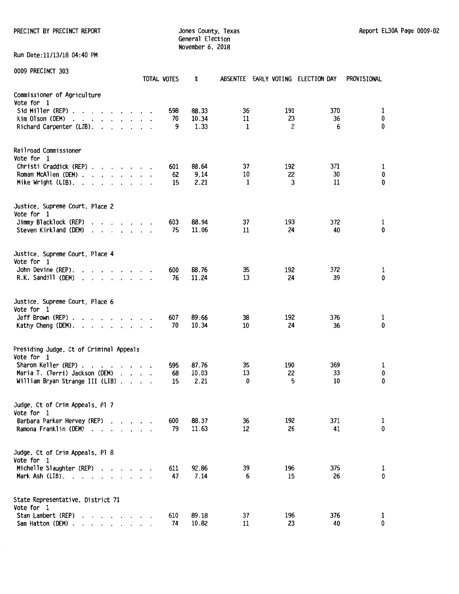PRECINCT BY PRECINCT REPORT COUNTERS OUNTY, Texas County, Texas Report EL30A Page 0009-02

General Election November 6, 2018

Run Date:11/13/18 04:40 PM

|                                                                                                                                                                                                                                                        | TOTAL VOTES                   | x             |         | ABSENTEE EARLY VOTING ELECTION DAY |           | PROVISIONAL |
|--------------------------------------------------------------------------------------------------------------------------------------------------------------------------------------------------------------------------------------------------------|-------------------------------|---------------|---------|------------------------------------|-----------|-------------|
| Commissioner of Agriculture<br>Vote for 1                                                                                                                                                                                                              |                               |               |         |                                    |           |             |
| Sid Miller (REP)                                                                                                                                                                                                                                       | 598<br>70                     | 88.33         | 36      | 191<br>23                          | 370<br>36 | 1<br>0      |
| Kim Olson (DEM)<br>the contract of the contract of the<br>$\ddot{\phantom{0}}$<br>Richard Carpenter (LIB).                                                                                                                                             | $\cdot$ .<br>9                | 10.34<br>1.33 | 11<br>1 | 2                                  | 6         | 0           |
|                                                                                                                                                                                                                                                        |                               |               |         |                                    |           |             |
| Railroad Commissioner                                                                                                                                                                                                                                  |                               |               |         |                                    |           |             |
| Vote for 1<br>Christi Craddick (REP)                                                                                                                                                                                                                   |                               | 88.64         | 37      | 192                                | 371       |             |
| Roman McAllen (DEM)                                                                                                                                                                                                                                    | 601<br>62                     | 9.14          | 10      | 22                                 | 30        | 1<br>0      |
| Mike Wright (LIB). .<br>and the contract of the contract of the contract of the contract of the contract of the contract of the contract of the contract of the contract of the contract of the contract of the contract of the contract of the contra | 15                            | 2.21          | 1       | 3                                  | 11        | 0           |
|                                                                                                                                                                                                                                                        |                               |               |         |                                    |           |             |
| Justice, Supreme Court, Place 2<br>Vote for 1                                                                                                                                                                                                          |                               |               |         |                                    |           |             |
| Jimmy Blacklock (REP)<br>$\cdots$                                                                                                                                                                                                                      | 603                           | 88.94         | 37      | 193                                | 372       | 1           |
| Steven Kirkland (DEM)<br>$\cdot$ $\cdot$ $\cdot$ $\cdot$ $\cdot$ $\cdot$ $\cdot$ $\cdot$                                                                                                                                                               | 75                            | 11.06         | 11      | 24                                 | 40        | 0           |
| Justice, Supreme Court, Place 4<br>Vote for 1                                                                                                                                                                                                          |                               |               |         |                                    |           |             |
| John Devine (REP).                                                                                                                                                                                                                                     | 600                           | 88.76         | 35      | 192                                | 372       | 1           |
| R.K. Sandill (DEM)<br>$\cdot$                                                                                                                                                                                                                          | 76                            | 11.24         | 13      | 24                                 | 39        | 0           |
|                                                                                                                                                                                                                                                        |                               |               |         |                                    |           |             |
| Justice, Supreme Court, Place 6<br>Vote for 1                                                                                                                                                                                                          |                               |               |         |                                    |           |             |
| $Jeff$ Brown (REP) $\ldots$ $\ldots$ $\ldots$ $\ldots$                                                                                                                                                                                                 | 607                           | 89.66         | 38      | 192                                | 376       | 1           |
| Kathy Cheng (DEM).                                                                                                                                                                                                                                     | 70                            | 10.34         | 10      | 24                                 | 36        | 0           |
|                                                                                                                                                                                                                                                        |                               |               |         |                                    |           |             |
| Presiding Judge, Ct of Criminal Appeals<br>Vote for 1                                                                                                                                                                                                  |                               |               |         |                                    |           |             |
| Sharon Keller (REP).<br>$\mathbf{a}$ and $\mathbf{a}$ and $\mathbf{a}$ and $\mathbf{a}$<br>$\cdot$                                                                                                                                                     | 595                           | 87.76         | 35      | 190                                | 369       | 1           |
| Maria T. (Terri) Jackson (DEM)<br>$\cdot$ $\cdot$ $\cdot$ $\cdot$                                                                                                                                                                                      | 68                            | 10.03         | 13      | 22                                 | 33        | 0           |
| William Bryan Strange III (LIB).                                                                                                                                                                                                                       | 15<br>$\cdot$ $\cdot$ $\cdot$ | 2.21          | 0       | 5                                  | 10        | 0           |
| Judge, Ct of Crim Appeals, Pl 7<br>Vote for 1                                                                                                                                                                                                          |                               |               |         |                                    |           |             |
| Barbara Parker Hervey (REP)                                                                                                                                                                                                                            | 600                           | 88.37         | 36      | 192                                | 371       | 1           |
| Ramona Franklin (DEM)<br>$\cdots$                                                                                                                                                                                                                      | 79                            | 11.63         | 12      | 26                                 | 41        | 0           |
| Judge, Ct of Crim Appeals, Pl 8                                                                                                                                                                                                                        |                               |               |         |                                    |           |             |
| Vote for 1                                                                                                                                                                                                                                             |                               |               |         |                                    |           |             |
| Michelle Slaughter (REP)                                                                                                                                                                                                                               | 611                           | 92.86         | 39      | 196                                | 375       | 1           |
| Mark Ash $(LIB)$ .                                                                                                                                                                                                                                     | 47                            | 7.14          | 6       | 15                                 | 26        | 0           |
| State Representative, District 71                                                                                                                                                                                                                      |                               |               |         |                                    |           |             |
| Vote for 1<br>Stan Lambert (REP)                                                                                                                                                                                                                       | 610                           | 89.18         | 37      | 196                                | 376       | 1           |
| Sam Hatton (DEM).<br>$\mathbf{r}$ , $\mathbf{r}$ , $\mathbf{r}$ , $\mathbf{r}$ , $\mathbf{r}$                                                                                                                                                          | 74                            | 10.82         | 11      | 23                                 | 40        | 0           |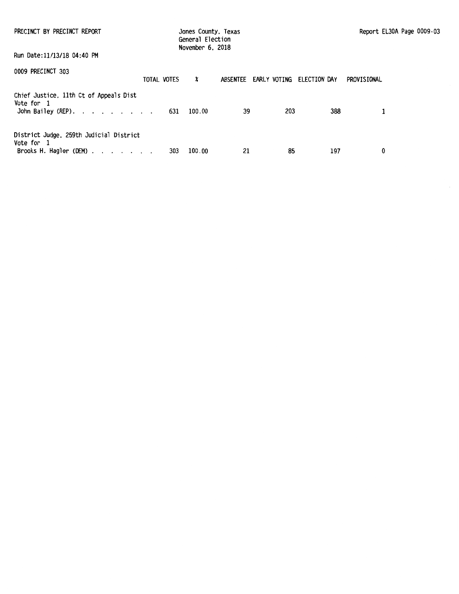| PRECINCT BY PRECINCT REPORT                                                                                     | Jones County, Texas<br>General Election<br>November 6, 2018 |                       |              |             | Report EL30A Page 0009-03 |
|-----------------------------------------------------------------------------------------------------------------|-------------------------------------------------------------|-----------------------|--------------|-------------|---------------------------|
| Run Date:11/13/18 04:40 PM                                                                                      |                                                             |                       |              |             |                           |
| 0009 PRECINCT 303<br>TOTAL VOTES                                                                                | X                                                           | ABSENTEE EARLY VOTING | ELECTION DAY | PROVISIONAL |                           |
| Chief Justice, 11th Ct of Appeals Dist<br>Vote for 1<br>John Bailey (REP).                                      | 100.00<br>631                                               | 39                    | 203          | 388         | 1                         |
| District Judge, 259th Judicial District<br>Vote for 1<br>Brooks H. Hagler (DEM) $\cdot \cdot \cdot \cdot \cdot$ | 100.00<br>303                                               | 21                    | 85           | 197         | 0                         |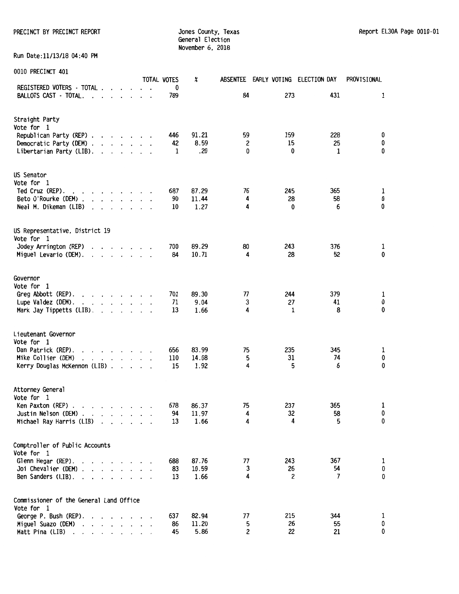PRECINCT BY PRECINCT REPORT **Subset County, Texas Report EL30A Page 0010**-01

General Election November 6, 2018

Run Date:11/13/18 04:40 PM

| AATA LIVEATIIAI                                                                                            |                                          |                      |  | <b>TOTAL VOTES</b> | X     |              |              | ABSENTEE EARLY VOTING ELECTION DAY | PROVISIONAL |
|------------------------------------------------------------------------------------------------------------|------------------------------------------|----------------------|--|--------------------|-------|--------------|--------------|------------------------------------|-------------|
| REGISTERED VOTERS - TOTAL<br>BALLOTS CAST - TOTAL.                                                         |                                          |                      |  | 0                  |       | 84           | 273          | 431                                | 1           |
| $\cdot$ $\cdot$ $\cdot$<br>$\cdot$                                                                         |                                          |                      |  | 789                |       |              |              |                                    |             |
| Straight Party                                                                                             |                                          |                      |  |                    |       |              |              |                                    |             |
| Vote for 1                                                                                                 |                                          |                      |  |                    |       |              |              |                                    |             |
| Republican Party (REP)                                                                                     |                                          |                      |  | 446                | 91.21 | 59           | 159          | 228                                | 0           |
| Democratic Party (DEM)                                                                                     |                                          |                      |  | 42                 | 8.59  | 2            | 15           | 25                                 | 0           |
| Libertarian Party (LIB).<br>$\mathbf{r}$ , $\mathbf{r}$ , $\mathbf{r}$ , $\mathbf{r}$                      |                                          |                      |  | 1                  | .20   | $\mathbf{0}$ | $\mathbf{0}$ | 1                                  | 0           |
| US Senator                                                                                                 |                                          |                      |  |                    |       |              |              |                                    |             |
| Vote for 1                                                                                                 |                                          |                      |  |                    |       |              |              |                                    |             |
| Ted Cruz (REP).<br>and a series and a                                                                      |                                          |                      |  | 687                | 87.29 | 76           | 245          | 365                                | 1           |
| Beto O'Rourke (DEM).<br>and a state of                                                                     |                                          |                      |  | 90                 | 11.44 | 4            | 28           | 58                                 | 0           |
| Neal M. Dikeman (LIB)<br>$\cdot$ $\cdot$ $\cdot$                                                           |                                          |                      |  | 10                 | 1.27  | 4            | 0            | 6                                  | 0           |
| US Representative, District 19                                                                             |                                          |                      |  |                    |       |              |              |                                    |             |
| Vote for 1                                                                                                 |                                          |                      |  |                    |       |              |              |                                    |             |
| Jodey Arrington (REP)<br>$\mathbf{r}$ , $\mathbf{r}$ , $\mathbf{r}$ , $\mathbf{r}$<br>$\ddot{\phantom{a}}$ |                                          |                      |  | 700                | 89.29 | 80           | 243          | 376                                | 1           |
| Miguel Levario (DEM).<br>$\mathbf{r}$ , $\mathbf{r}$ , $\mathbf{r}$ , $\mathbf{r}$ , $\mathbf{r}$          |                                          |                      |  | 84                 | 10.71 | 4            | 28           | 52                                 | $\mathbf 0$ |
| Governor                                                                                                   |                                          |                      |  |                    |       |              |              |                                    |             |
| Vote for 1                                                                                                 |                                          |                      |  |                    |       |              |              |                                    |             |
| Greg Abbott (REP).<br>$\mathbf{r}$ , and $\mathbf{r}$ , and $\mathbf{r}$ , and $\mathbf{r}$                |                                          |                      |  | 701                | 89.30 | 77           | 244          | 379                                | 1           |
| Lupe Valdez (DEM).<br>$\mathbf{r}$ and $\mathbf{r}$ and $\mathbf{r}$ and $\mathbf{r}$                      |                                          |                      |  | 71                 | 9.04  | 3            | 27           | 41                                 | 0           |
| Mark Jay Tippetts (LIB).<br>$\mathbf{r}$ , $\mathbf{r}$ , $\mathbf{r}$                                     |                                          |                      |  | 13                 | 1.66  | 4            | 1            | 8                                  | 0           |
| Lieutenant Governor                                                                                        |                                          |                      |  |                    |       |              |              |                                    |             |
| Vote for 1                                                                                                 |                                          |                      |  |                    |       |              |              |                                    |             |
| Dan Patrick (REP).<br>and a state of the state                                                             |                                          |                      |  | 656                | 83.99 | 75           | 235          | 345                                | 1           |
| Mike Collier (DEM)<br>$\mathbf{r}$ and $\mathbf{r}$ and $\mathbf{r}$ and $\mathbf{r}$                      |                                          |                      |  | 110                | 14.08 | 5            | 31           | 74                                 | 0           |
| Kerry Douglas McKennon (LIB)                                                                               |                                          |                      |  | 15                 | 1.92  | 4            | 5            | 6                                  | 0           |
| Attorney General                                                                                           |                                          |                      |  |                    |       |              |              |                                    |             |
| Vote for 1                                                                                                 |                                          |                      |  |                    |       |              |              |                                    |             |
| Ken Paxton (REP).<br>$\mathcal{L}(\mathbf{a})$ . The contribution of $\mathcal{L}(\mathbf{a})$             |                                          |                      |  | 678                | 86.37 | 75           | 237          | 365                                | 1           |
| Justin Nelson (DEM).<br>$\mathbf{r}$ , and $\mathbf{r}$ , and $\mathbf{r}$                                 |                                          |                      |  | 94                 | 11.97 | 4            | 32           | 58                                 | 0           |
| Michael Ray Harris (LIB)<br>$\ddot{\phantom{0}}$                                                           | $\mathbf{r}$ . The set of $\mathbf{r}$   |                      |  | 13                 | 1.66  | 4            | 4            | 5                                  | 0           |
| Comptroller of Public Accounts                                                                             |                                          |                      |  |                    |       |              |              |                                    |             |
| Vote for 1                                                                                                 |                                          |                      |  |                    |       |              |              |                                    |             |
| Glenn Hegar (REP).<br>$\cdot$ $\cdot$ $\cdot$ $\cdot$ $\cdot$ $\cdot$                                      |                                          |                      |  | 688                | 87.76 | 77           | 243          | 367                                | 1           |
| Joi Chevalier (DEM)<br>$\cdot$ $\cdot$ $\cdot$ $\cdot$ $\cdot$                                             |                                          |                      |  | 83                 | 10.59 | 3            | 26           | 54                                 | 0           |
| Ben Sanders (LIB).<br>$\mathbf{r}$ and $\mathbf{r}$ and $\mathbf{r}$                                       |                                          |                      |  | 13                 | 1.66  | 4            | 2            | 7                                  | 0           |
| Commissioner of the General Land Office                                                                    |                                          |                      |  |                    |       |              |              |                                    |             |
| Vote for 1                                                                                                 |                                          |                      |  |                    |       |              |              |                                    |             |
| George P. Bush (REP).                                                                                      |                                          |                      |  | 637                | 82.94 | 77           | 215          | 344                                | ı           |
| Miguel Suazo (DEM)                                                                                         | $\mathbf{r} = \mathbf{r} + \mathbf{r}$ . | $\ddot{\phantom{0}}$ |  | 86                 | 11.20 | 5            | 26           | 55                                 | 0           |
| Matt Pina (LIB)<br>the contract of the contract of the<br>$\ddot{\phantom{0}}$                             |                                          |                      |  | 45                 | 5.86  | 2            | 22           | 21                                 | 0           |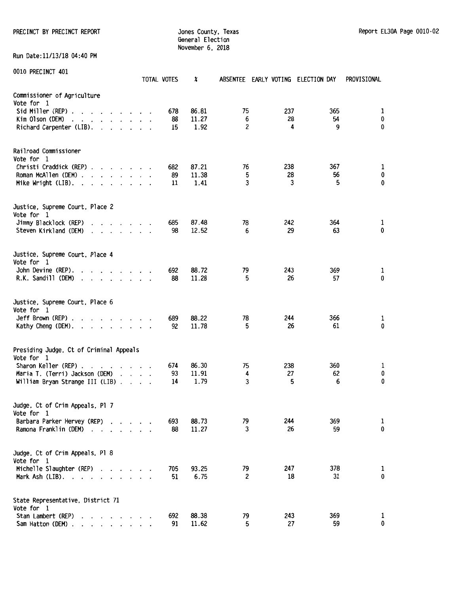PRECINCT BY PRECINCT REPORT **Subset County, Texas** Jones County, Texas Report EL30A Page 0010-02

General Election November 6. 2018

Run Date:11/13/18 04:40 PM

|                                                                                                                                                                                                                                                         | TOTAL VOTES | X     |              | ABSENTEE EARLY VOTING ELECTION DAY |     | PROVISIONAL |
|---------------------------------------------------------------------------------------------------------------------------------------------------------------------------------------------------------------------------------------------------------|-------------|-------|--------------|------------------------------------|-----|-------------|
| Commissioner of Agriculture<br>Vote for 1                                                                                                                                                                                                               |             |       |              |                                    |     |             |
|                                                                                                                                                                                                                                                         | 678         | 86.81 | 75           | 237                                | 365 | 1           |
| Kim Olson (DEM)<br>$\mathbf{r}$ , $\mathbf{r}$ , $\mathbf{r}$ , $\mathbf{r}$ , $\mathbf{r}$<br>$\ddot{\phantom{a}}$                                                                                                                                     | 88          | 11.27 | 6            | 28                                 | 54  | 0           |
| Richard Carpenter (LIB).                                                                                                                                                                                                                                | 15          | 1.92  | 2            | 4                                  | 9   | 0           |
| Railroad Commissioner                                                                                                                                                                                                                                   |             |       |              |                                    |     |             |
| Vote for 1                                                                                                                                                                                                                                              | 682         | 87.21 | 76           | 238                                | 367 | 1           |
| Christi Craddick (REP)<br>Roman McAllen (DEM)                                                                                                                                                                                                           | 89          | 11.38 | 5            | 28                                 | 56  | 0           |
| Mike Wright (LIB). $\ldots$                                                                                                                                                                                                                             | 11          | 1.41  | 3            | 3                                  | 5   | 0           |
| Justice, Supreme Court, Place 2                                                                                                                                                                                                                         |             |       |              |                                    |     |             |
| Vote for 1<br>Jimmy Blacklock (REP)<br>$\cdot$ $\cdot$ $\cdot$ $\cdot$ $\cdot$ $\cdot$ $\cdot$ $\cdot$                                                                                                                                                  | 685         | 87.48 | 78           | 242                                | 364 | 1           |
| Steven Kirkland (DEM)<br>$\mathbf{r}$ , $\mathbf{r}$ , $\mathbf{r}$ , $\mathbf{r}$ , $\mathbf{r}$ , $\mathbf{r}$                                                                                                                                        | 98          | 12.52 | 6            | 29                                 | 63  | 0           |
| Justice, Supreme Court, Place 4<br>Vote for 1                                                                                                                                                                                                           |             |       |              |                                    |     |             |
| John Devine (REP).<br>$\mathbf{r}$ , $\mathbf{r}$ , $\mathbf{r}$ , $\mathbf{r}$ , $\mathbf{r}$ , $\mathbf{r}$                                                                                                                                           | 692         | 88.72 | 79           | 243                                | 369 | 1           |
| R.K. Sandill (DEM)<br>$\cdot$ $\cdot$ $\cdot$ $\cdot$ $\cdot$ $\cdot$<br>$\ddot{\phantom{a}}$                                                                                                                                                           | 88          | 11.28 | 5            | 26                                 | 57  | 0           |
| Justice, Supreme Court, Place 6<br>Vote for 1                                                                                                                                                                                                           |             |       |              |                                    |     |             |
| $Jeff$ Brown (REP) $\ldots$ $\ldots$ $\ldots$ $\ldots$                                                                                                                                                                                                  | 689         | 88.22 | 78           | 244                                | 366 | 1           |
| Kathy Cheng (DEM).                                                                                                                                                                                                                                      | 92          | 11.78 | 5            | 26                                 | 61  | 0           |
| Presiding Judge, Ct of Criminal Appeals<br>Vote for 1                                                                                                                                                                                                   |             |       |              |                                    |     |             |
| Sharon Keller (REP).<br>the contract of the contract of                                                                                                                                                                                                 | 674         | 86.30 | 75           | 238                                | 360 | 1           |
| Maria T. (Terri) Jackson (DEM)                                                                                                                                                                                                                          | 93          | 11.91 | 4            | 27                                 | 62  | 0           |
| William Bryan Strange III (LIB)                                                                                                                                                                                                                         | 14          | 1.79  | $\mathbf{3}$ | 5                                  | 6   | 0           |
| Judge, Ct of Crim Appeals, Pl 7<br>Vote for 1                                                                                                                                                                                                           |             |       |              |                                    |     |             |
| Barbara Parker Hervey (REP)                                                                                                                                                                                                                             | 693         | 88.73 | 79           | 244                                | 369 | 1           |
| Ramona Franklin (DEM)                                                                                                                                                                                                                                   | 88          | 11.27 | 3            | 26                                 | 59  | 0           |
| Judge, Ct of Crim Appeals, Pl 8<br>Vote for 1                                                                                                                                                                                                           |             |       |              |                                    |     |             |
| Michelle Slaughter (REP)                                                                                                                                                                                                                                | 705         | 93.25 | 79           | 247                                | 378 | 1           |
| Mark Ash (LIB).<br>the contract of the contract of the contract of the contract of the contract of the contract of the contract of the contract of the contract of the contract of the contract of the contract of the contract of the contract o       | 51          | 6.75  | 2            | 18                                 | 31  | 0           |
| State Representative, District 71<br>Vote for 1                                                                                                                                                                                                         |             |       |              |                                    |     |             |
| Stan Lambert (REP)<br>$\mathbf{r}$ . The contract of the contract of the contract of the contract of the contract of the contract of the contract of the contract of the contract of the contract of the contract of the contract of the contract of th | 692         | 88.38 | 79           | 243                                | 369 | 1           |
| Sam Hatton (DEM).<br>the contract of the contract of                                                                                                                                                                                                    | 91          | 11.62 | 5            | 27                                 | 59  | 0           |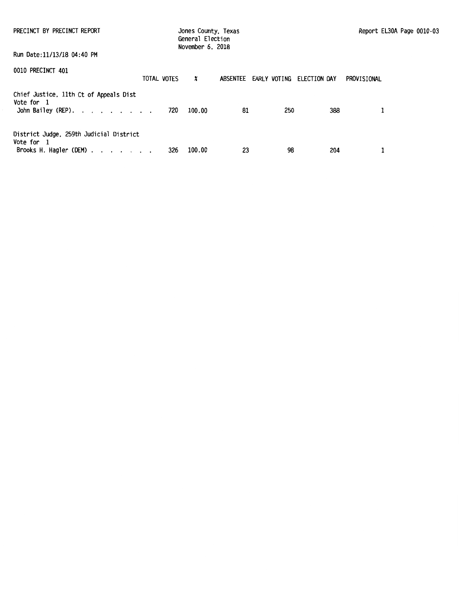| PRECINCT BY PRECINCT REPORT<br>Run Date:11/13/18 04:40 PM                                                  |     | Jones County, Texas<br>General Election<br>November 6, 2018 |    |                                    |     | Report EL30A Page 0010-03 |  |
|------------------------------------------------------------------------------------------------------------|-----|-------------------------------------------------------------|----|------------------------------------|-----|---------------------------|--|
|                                                                                                            |     |                                                             |    |                                    |     |                           |  |
| 0010 PRECINCT 401<br>TOTAL VOTES                                                                           |     | x                                                           |    | ABSENTEE EARLY VOTING ELECTION DAY |     | PROVISIONAL               |  |
| Chief Justice, 11th Ct of Appeals Dist<br>Vote for 1<br>John Bailey (REP).                                 | 720 | 100.00                                                      | 81 | 250                                | 388 |                           |  |
| District Judge, 259th Judicial District<br>Vote for 1<br>Brooks H. Hagler (DEM) $\ldots$ $\ldots$ $\ldots$ | 326 | 100.00                                                      | 23 | 98                                 | 204 |                           |  |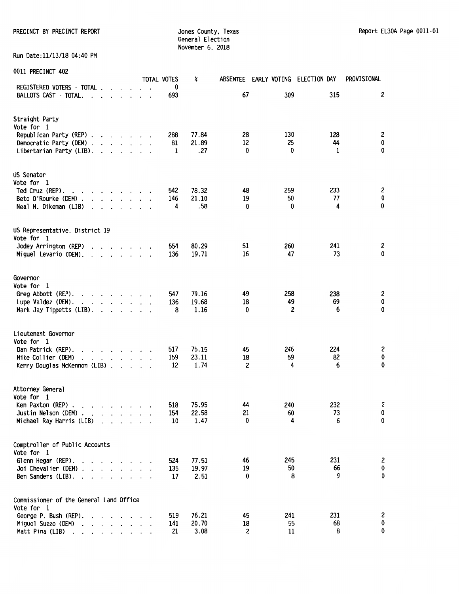PRECINCT BY PRECINCT REPORT SALL THE STATE STATE STATES OF STATES COUNTY, Texas Report EL30A Page 0011-01

General Election November 6. 2018

Run Date:11/13/18 04:40 PM

|  | 0011 PRECINCT 402 |  |
|--|-------------------|--|
|--|-------------------|--|

| <b>ANTI LUCCIMO LAAC</b>                                                                                                                                                                                                                                                                                                                                                                                                     | TOTAL VOTES      | X                      | ABSENTEE EARLY VOTING ELECTION DAY |                       |                | PROVISIONAL         |
|------------------------------------------------------------------------------------------------------------------------------------------------------------------------------------------------------------------------------------------------------------------------------------------------------------------------------------------------------------------------------------------------------------------------------|------------------|------------------------|------------------------------------|-----------------------|----------------|---------------------|
| REGISTERED VOTERS - TOTAL<br>BALLOTS CAST - TOTAL.<br>$\mathbf{r}$<br>$\sim$ $\sim$<br>$\overline{\phantom{a}}$                                                                                                                                                                                                                                                                                                              | 0<br>693         |                        | 67                                 | 309                   | 315            | $\overline{c}$      |
| Straight Party<br>Vote for 1<br>Republican Party (REP)<br>Democratic Party (DEM)<br>Libertarian Party (LIB).<br>$\cdot$ $\cdot$ $\cdot$ $\cdot$ $\cdot$ $\cdot$ $\cdot$                                                                                                                                                                                                                                                      | 288<br>81<br>1   | 77.84<br>21.89<br>.27  | 28<br>12<br>0                      | 130<br>25<br>$\bf{0}$ | 128<br>44<br>1 | 2<br>$\pmb{0}$<br>0 |
| US Senator<br>Vote for 1<br>Ted Cruz (REP).<br>$\begin{array}{cccccccccccccc} \bullet & \bullet & \bullet & \bullet & \bullet & \bullet & \bullet & \bullet & \bullet & \bullet & \bullet \end{array}$<br>Beto O'Rourke (DEM).<br>$\cdot$ $\cdot$ $\cdot$ $\cdot$<br>Neal M. Dikeman (LIB)<br>$\cdot$<br>$\mathbf{r}$                                                                                                        | 542<br>146<br>4  | 78.32<br>21.10<br>.58  | 48<br>19<br>0                      | 259<br>50<br>0        | 233<br>77<br>4 | 2<br>$\pmb{0}$<br>0 |
| US Representative, District 19<br>Vote for 1<br>Jodey Arrington (REP)<br>$\mathbf{r}$<br>Miguel Levario (DEM).<br>$\mathbf{r}$ , $\mathbf{r}$ , $\mathbf{r}$ , $\mathbf{r}$ , $\mathbf{r}$                                                                                                                                                                                                                                   | 554<br>136       | 80.29<br>19.71         | 51<br>16                           | 260<br>47             | 241<br>73      | 2<br>0              |
| Governor<br>Vote for 1<br>Greg Abbott (REP).<br>$\mathbf{r}$ , $\mathbf{r}$ , $\mathbf{r}$ , $\mathbf{r}$ , $\mathbf{r}$ , $\mathbf{r}$<br>Lupe Valdez (DEM).<br>Mark Jay Tippetts (LIB).<br>$\mathcal{L}$ , and $\mathcal{L}$ , and $\mathcal{L}$                                                                                                                                                                           | 547<br>136<br>8  | 79.16<br>19.68<br>1.16 | 49<br>18<br>0                      | 258<br>49<br>2        | 238<br>69<br>6 | 2<br>0<br>0         |
| Lieutenant Governor<br>Vote for 1<br>Dan Patrick (REP).<br>$\mathbf{r}$ . The set of the set of the set of the set of the set of the set of the set of the set of the set of the set of the set of the set of the set of the set of the set of the set of the set of the set of the set of t<br>$\cdot$<br>Mike Collier (DEM)<br>and the contract of the contract of<br>$\ddot{\phantom{a}}$<br>Kerry Douglas McKennon (LIB) | 517<br>159<br>12 | 75.15<br>23.11<br>1.74 | 45<br>18<br>$\overline{c}$         | 246<br>59<br>4        | 224<br>82<br>6 | 2<br>0<br>0         |
| Attorney General<br>Vote for 1<br>Ken Paxton (REP).<br>$\mathcal{A}=\mathcal{A}=\mathcal{A}=\mathcal{A}=\mathcal{A}=\mathcal{A}$ .<br>Justin Nelson (DEM).<br>and a series of the<br>Michael Ray Harris (LIB)<br>$\cdot$ $\cdot$ $\cdot$<br>$\cdot$                                                                                                                                                                          | 518<br>154<br>10 | 75.95<br>22.58<br>1.47 | 44<br>21<br>0                      | 240<br>60<br>4        | 232<br>73<br>6 | 2<br>0<br>0         |
| Comptroller of Public Accounts<br>Vote for 1<br>Glenn Hegar (REP).<br>$\cdots$<br>Joi Chevalier (DEM).<br>and the control of the con-<br>Ben Sanders (LIB).<br>$\cdot$ $\cdot$ $\cdot$                                                                                                                                                                                                                                       | 524<br>135<br>17 | 77.51<br>19.97<br>2.51 | 46<br>19<br>0                      | 245<br>50<br>8        | 231<br>66<br>9 | 2<br>0<br>0         |
| Commissioner of the General Land Office<br>Vote for 1<br>George P. Bush (REP).<br>$\cdot$<br>Miguel Suazo (DEM)<br>$\ddot{\phantom{0}}$<br>$\cdot$<br>$\cdot$<br>$\ddot{\phantom{0}}$<br>$\ddot{\phantom{0}}$<br>Matt Pina (LIB)<br>and a state of the state<br>$\cdot$                                                                                                                                                      | 519<br>141<br>21 | 76.21<br>20.70<br>3.08 | 45<br>18<br>2                      | 241<br>55<br>11       | 231<br>68<br>8 | 2<br>$\pmb{0}$<br>0 |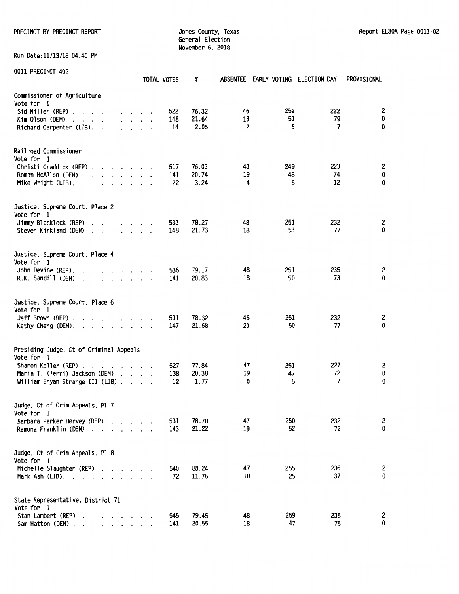PRECINCT BY PRECINCT REPORT COUNTER SERVICES ON A SURFACE OF STREET AND REPORT REPORT REPORT OF STREET AND REPORT

General Election November 6, 2018

Run Date:11/13/18 04:40 PM

| 0011 PRECINCT 402                                                                                                                                                                                                                                 |                                                           |  |                      | TOTAL VOTES | X             |         |           | ABSENTEE EARLY VOTING ELECTION DAY | PROVISIONAL |
|---------------------------------------------------------------------------------------------------------------------------------------------------------------------------------------------------------------------------------------------------|-----------------------------------------------------------|--|----------------------|-------------|---------------|---------|-----------|------------------------------------|-------------|
| Commissioner of Agriculture<br>Vote for 1                                                                                                                                                                                                         |                                                           |  |                      |             |               |         |           |                                    |             |
| Sid Miller (REP).<br>and the second control of the second second                                                                                                                                                                                  |                                                           |  |                      | 522         | 76.32         | 46      | 252       | 222                                | 2           |
| Kim Olson (DEM)<br>and the contract of the contract of the contract of the contract of the contract of the contract of the contract of the contract of the contract of the contract of the contract of the contract of the contract of the contra |                                                           |  |                      | 148         | 21.64         | 18      | 51        | 79                                 | 0           |
| Richard Carpenter (LIB).                                                                                                                                                                                                                          |                                                           |  |                      | 14          | 2.05          | 2       | 5         |                                    | 0<br>7      |
| Railroad Commissioner                                                                                                                                                                                                                             |                                                           |  |                      |             |               |         |           |                                    |             |
| Vote for 1                                                                                                                                                                                                                                        |                                                           |  |                      |             |               |         |           |                                    |             |
| Christi Craddick (REP)                                                                                                                                                                                                                            |                                                           |  |                      | 517         | 76.03         | 43      | 249<br>48 | 223<br>74                          | 2           |
| Roman McAllen (DEM).<br>$\mathbf{r}$ , $\mathbf{r}$ , $\mathbf{r}$ , $\mathbf{r}$<br>Mike Wright (LIB). .                                                                                                                                         |                                                           |  | $\ddot{\phantom{a}}$ | 141<br>22   | 20.74<br>3.24 | 19<br>4 | 6         | 12                                 | 0<br>0      |
|                                                                                                                                                                                                                                                   |                                                           |  |                      |             |               |         |           |                                    |             |
| Justice, Supreme Court, Place 2<br>Vote for 1                                                                                                                                                                                                     |                                                           |  |                      |             |               |         |           |                                    |             |
| Jimmy Blacklock (REP)<br>$\cdot$ $\cdot$ $\cdot$ $\cdot$ $\cdot$ $\cdot$                                                                                                                                                                          |                                                           |  |                      | 533         | 78.27         | 48      | 251       | 232                                | 2           |
| Steven Kirkland (DEM)<br>$\cdot$                                                                                                                                                                                                                  | $\mathbf{r}$ , $\mathbf{r}$ , $\mathbf{r}$ , $\mathbf{r}$ |  |                      | 148         | 21.73         | 18      | 53        | 77                                 | 0           |
| Justice, Supreme Court, Place 4<br>Vote for 1                                                                                                                                                                                                     |                                                           |  |                      |             |               |         |           |                                    |             |
| John Devine (REP).<br>$\cdot$                                                                                                                                                                                                                     | $\sim$ $\sim$ $\sim$ $\sim$ $\sim$ $\sim$                 |  |                      | 536         | 79.17         | 48      | 251       | 235                                | 2           |
| R.K. Sandill (DEM)<br>$\begin{array}{cccccccccccccccccc} . & . & . & . & . & . & . & . & . & . & . & . \end{array}$                                                                                                                               |                                                           |  |                      | 141         | 20.83         | 18      | 50        | 73                                 | $\bf{0}$    |
| Justice, Supreme Court, Place 6<br>Vote for 1                                                                                                                                                                                                     |                                                           |  |                      |             |               |         |           |                                    |             |
| Jeff Brown (REP).<br>the contract of the contract of the contract of the contract of the contract of the contract of the contract of<br>$\cdot$                                                                                                   |                                                           |  |                      | 531         | 78.32         | 46      | 251       | 232                                | 2           |
| Kathy Cheng (DEM).<br>the contract of the contract of the                                                                                                                                                                                         |                                                           |  |                      | 147         | 21.68         | 20      | 50        | 77                                 | 0           |
| Presiding Judge, Ct of Criminal Appeals<br>Vote for 1                                                                                                                                                                                             |                                                           |  |                      |             |               |         |           |                                    |             |
| Sharon Keller (REP).<br>$\cdot$                                                                                                                                                                                                                   | $\mathcal{A}$ . The set of the set of the $\mathcal{A}$   |  |                      | 527         | 77.84         | 47      | 251       | 227                                | 2           |
| Maria T. (Terri) Jackson (DEM)                                                                                                                                                                                                                    |                                                           |  |                      | 138         | 20.38         | 19      | 47        | 72                                 | 0           |
| William Bryan Strange III (LIB)                                                                                                                                                                                                                   |                                                           |  |                      | 12          | 1.77          | 0       | 5         |                                    | 0<br>7      |
| Judge, Ct of Crim Appeals, Pl 7<br>Vote for 1                                                                                                                                                                                                     |                                                           |  |                      |             |               |         |           |                                    |             |
| Barbara Parker Hervey (REP)                                                                                                                                                                                                                       |                                                           |  |                      | 531         | 78.78         | 47      | 250       | 232                                | 2           |
| Ramona Franklin (DEM)                                                                                                                                                                                                                             |                                                           |  |                      | 143         | 21.22         | 19      | 52        | 72                                 | 0           |
| Judge, Ct of Crim Appeals, Pl 8<br>Vote for 1                                                                                                                                                                                                     |                                                           |  |                      |             |               |         |           |                                    |             |
| Michelle Slaughter (REP)                                                                                                                                                                                                                          |                                                           |  |                      | 540         | 88.24         | 47      | 255       | 236                                | 2           |
| Mark Ash $(LIB)$ .                                                                                                                                                                                                                                |                                                           |  |                      | 72          | 11.76         | 10      | 25        | 37                                 | 0           |
| State Representative, District 71                                                                                                                                                                                                                 |                                                           |  |                      |             |               |         |           |                                    |             |
| Vote for 1<br>Stan Lambert (REP)                                                                                                                                                                                                                  |                                                           |  |                      | 545         | 79.45         | 48      | 259       | 236                                | 2           |
| Sam Hatton (DEM)                                                                                                                                                                                                                                  |                                                           |  |                      | 141         | 20.55         | 18      | 47        | 76                                 | 0           |